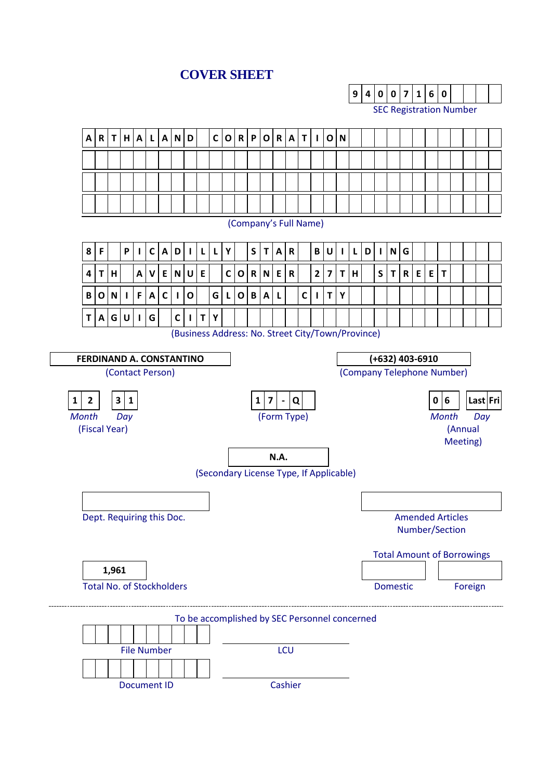## **COVER SHEET**

**9 4 0 0 7 1 6 0**



Document ID Cashier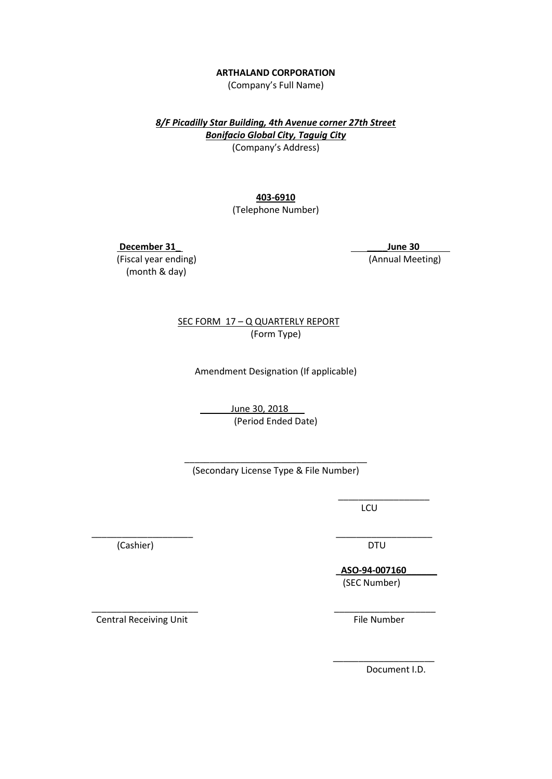#### **ARTHALAND CORPORATION**

(Company's Full Name)

*8/F Picadilly Star Building, 4th Avenue corner 27th Street Bonifacio Global City, Taguig City* (Company's Address)

## **403-6910**

(Telephone Number)

 **December 31\_ \_\_\_\_June 30**

(month & day)

(Fiscal year ending) (Annual Meeting)

 SEC FORM 17 – Q QUARTERLY REPORT (Form Type)

Amendment Designation (If applicable)

June 30, 2018 (Period Ended Date)

 $\overline{\phantom{a}}$  , which is a set of the set of the set of the set of the set of the set of the set of the set of the set of the set of the set of the set of the set of the set of the set of the set of the set of the set of th

\_\_\_\_\_\_\_\_\_\_\_\_\_\_\_\_\_\_\_\_ \_\_\_\_\_\_\_\_\_\_\_\_\_\_\_\_\_\_\_

 $\overline{\phantom{a}}$  , and the contract of the contract of the contract of the contract of the contract of the contract of the contract of the contract of the contract of the contract of the contract of the contract of the contrac

\_\_\_\_\_\_\_\_\_\_\_\_\_\_\_\_\_\_\_\_\_\_\_\_\_\_\_\_\_\_\_\_\_\_\_\_ (Secondary License Type & File Number)

**LCU** 

(Cashier) DTU

 **\_ASO-94-007160\_\_\_\_\_\_**  (SEC Number)

 \_\_\_\_\_\_\_\_\_\_\_\_\_\_\_\_\_\_\_\_\_ \_\_\_\_\_\_\_\_\_\_\_\_\_\_\_\_\_\_\_\_ Central Receiving Unit **File Number** File Number

Document I.D.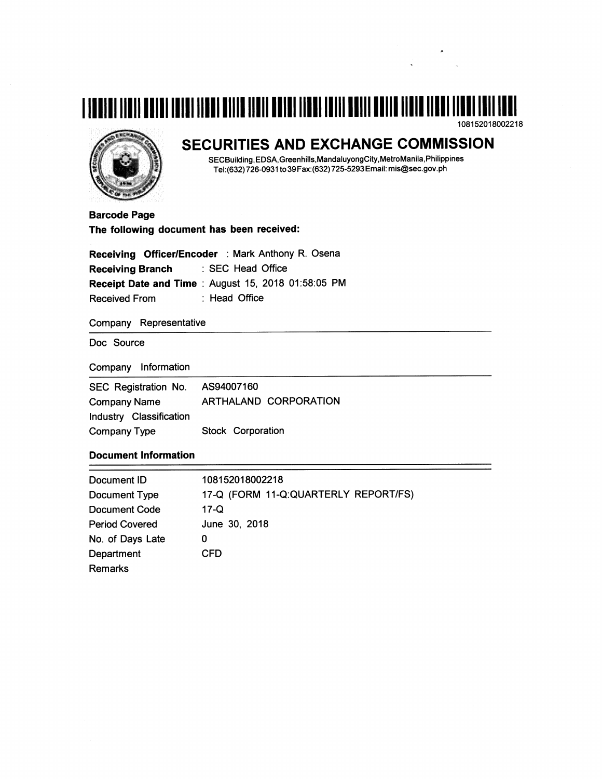



# SECURITIES AND EXCHANGE COMMISSION

SECBuilding, EDSA, Greenhills, Mandaluyong City, Metro Manila, Philippines Tel:(632) 726-0931 to 39 Fax:(632) 725-5293 Email: mis@sec.gov.ph

**Barcode Page** The following document has been received:

Receiving Officer/Encoder : Mark Anthony R. Osena : SEC Head Office **Receiving Branch** Receipt Date and Time : August 15, 2018 01:58:05 PM : Head Office **Received From** 

Company Representative

Doc Source

Company Information

| SEC Registration No.    | AS94007160            |
|-------------------------|-----------------------|
| Company Name            | ARTHALAND CORPORATION |
| Industry Classification |                       |
| <b>Company Type</b>     | Stock Corporation     |

## **Document Information**

| Document ID           | 108152018002218                      |
|-----------------------|--------------------------------------|
| Document Type         | 17-Q (FORM 11-Q:QUARTERLY REPORT/FS) |
| Document Code         | 17-Q                                 |
| <b>Period Covered</b> | June 30, 2018                        |
| No. of Days Late      | O                                    |
| Department            | CFD                                  |
| Remarks               |                                      |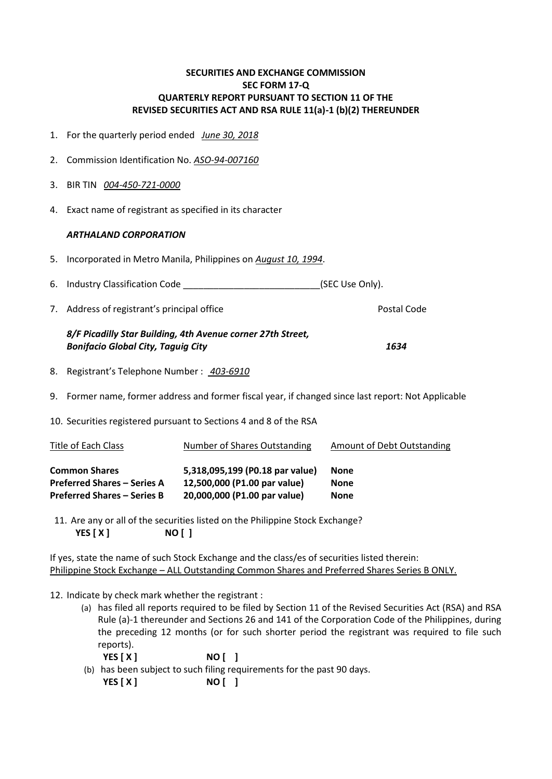## **SECURITIES AND EXCHANGE COMMISSION SEC FORM 17-Q QUARTERLY REPORT PURSUANT TO SECTION 11 OF THE REVISED SECURITIES ACT AND RSA RULE 11(a)-1 (b)(2) THEREUNDER**

- 1. For the quarterly period ended*June 30, 2018*
- 2. Commission Identification No. *ASO-94-007160*
- 3. BIR TIN *004-450-721-0000*
- 4. Exact name of registrant as specified in its character

## *ARTHALAND CORPORATION*

- 5. Incorporated in Metro Manila, Philippines on *August 10, 1994*.
- 6. Industry Classification Code \_\_\_\_\_\_\_\_\_\_\_\_\_\_\_\_\_\_\_\_\_\_\_\_\_\_\_\_\_\_(SEC Use Only).
- 7. Address of registrant's principal office Theorem Assessment Code Postal Code

## *8/F Picadilly Star Building, 4th Avenue corner 27th Street, Bonifacio Global City, Taguig City 1634*

- 8. Registrant's Telephone Number : *403-6910*
- 9. Former name, former address and former fiscal year, if changed since last report: Not Applicable
- 10. Securities registered pursuant to Sections 4 and 8 of the RSA

| Title of Each Class                | Number of Shares Outstanding    | Amount of Debt Outstanding |
|------------------------------------|---------------------------------|----------------------------|
| <b>Common Shares</b>               | 5,318,095,199 (P0.18 par value) | None                       |
| <b>Preferred Shares – Series A</b> | 12,500,000 (P1.00 par value)    | None                       |
| <b>Preferred Shares – Series B</b> | 20,000,000 (P1.00 par value)    | <b>None</b>                |

11. Are any or all of the securities listed on the Philippine Stock Exchange?  **YES [ X ] NO [ ]**

If yes, state the name of such Stock Exchange and the class/es of securities listed therein: Philippine Stock Exchange – ALL Outstanding Common Shares and Preferred Shares Series B ONLY.

12. Indicate by check mark whether the registrant :

- (a) has filed all reports required to be filed by Section 11 of the Revised Securities Act (RSA) and RSA Rule (a)-1 thereunder and Sections 26 and 141 of the Corporation Code of the Philippines, during the preceding 12 months (or for such shorter period the registrant was required to file such reports).
	- **YES [ X ] NO [ ]**
- (b) has been subject to such filing requirements for the past 90 days.  **YES [ X ] NO [ ]**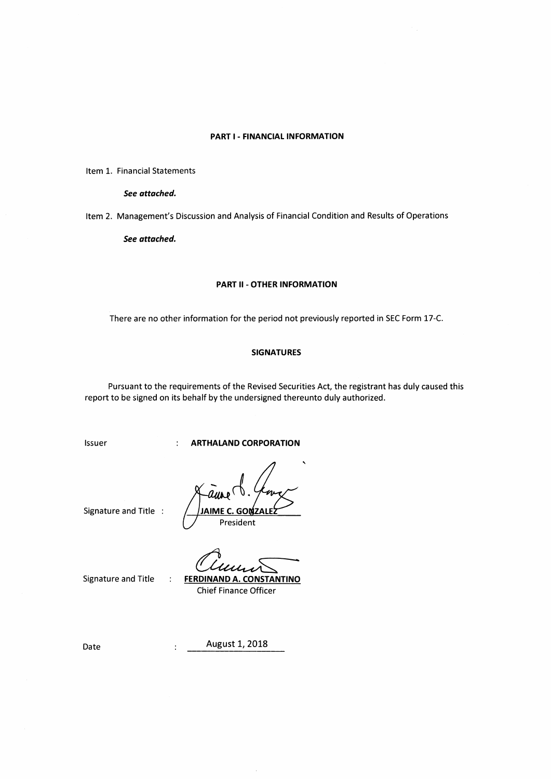## PART I - FINANCIAL INFORMATION

Item 1. Financial Statements

See attached.

Item 2. Management's Discussion and Analysis of Financial Condition and Results of Operations

See attached.

#### **PART II - OTHER INFORMATION**

There are no other information for the period not previously reported in SEC Form 17-C.

## **SIGNATURES**

Pursuant to the requirements of the Revised Securities Act, the registrant has duly caused this report to be signed on its behalf by the undersigned thereunto duly authorized.

Issuer

**ARTHALAND CORPORATION** 

 $\ddot{\cdot}$ 

 $\ddot{\cdot}$ 

 $\cdot$ 

IAIME C. GOMZAI President

Signature and Title :

Signature and Title

**FERDINAND A. CONSTANTINO Chief Finance Officer** 

August 1, 2018

Date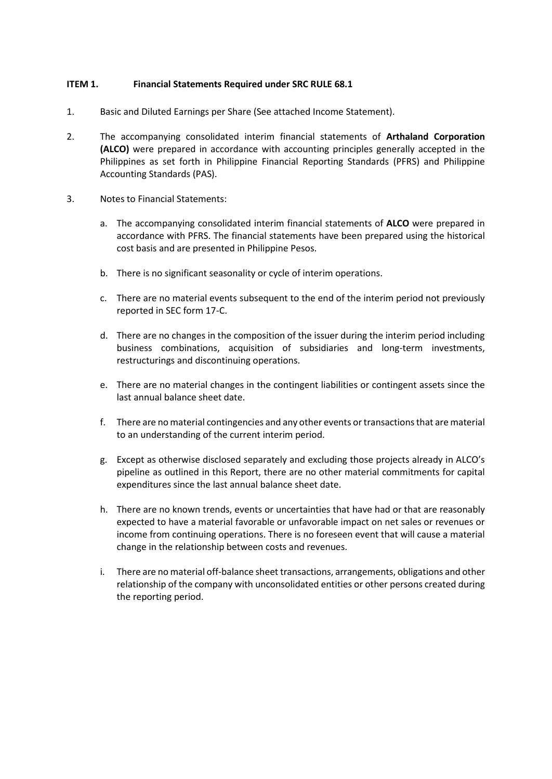## **ITEM 1. Financial Statements Required under SRC RULE 68.1**

- 1. Basic and Diluted Earnings per Share (See attached Income Statement).
- 2. The accompanying consolidated interim financial statements of **Arthaland Corporation (ALCO)** were prepared in accordance with accounting principles generally accepted in the Philippines as set forth in Philippine Financial Reporting Standards (PFRS) and Philippine Accounting Standards (PAS).
- 3. Notes to Financial Statements:
	- a. The accompanying consolidated interim financial statements of **ALCO** were prepared in accordance with PFRS. The financial statements have been prepared using the historical cost basis and are presented in Philippine Pesos.
	- b. There is no significant seasonality or cycle of interim operations.
	- c. There are no material events subsequent to the end of the interim period not previously reported in SEC form 17-C.
	- d. There are no changes in the composition of the issuer during the interim period including business combinations, acquisition of subsidiaries and long-term investments, restructurings and discontinuing operations.
	- e. There are no material changes in the contingent liabilities or contingent assets since the last annual balance sheet date.
	- f. There are no material contingencies and any other events or transactions that are material to an understanding of the current interim period.
	- g. Except as otherwise disclosed separately and excluding those projects already in ALCO's pipeline as outlined in this Report, there are no other material commitments for capital expenditures since the last annual balance sheet date.
	- h. There are no known trends, events or uncertainties that have had or that are reasonably expected to have a material favorable or unfavorable impact on net sales or revenues or income from continuing operations. There is no foreseen event that will cause a material change in the relationship between costs and revenues.
	- i. There are no material off-balance sheet transactions, arrangements, obligations and other relationship of the company with unconsolidated entities or other persons created during the reporting period.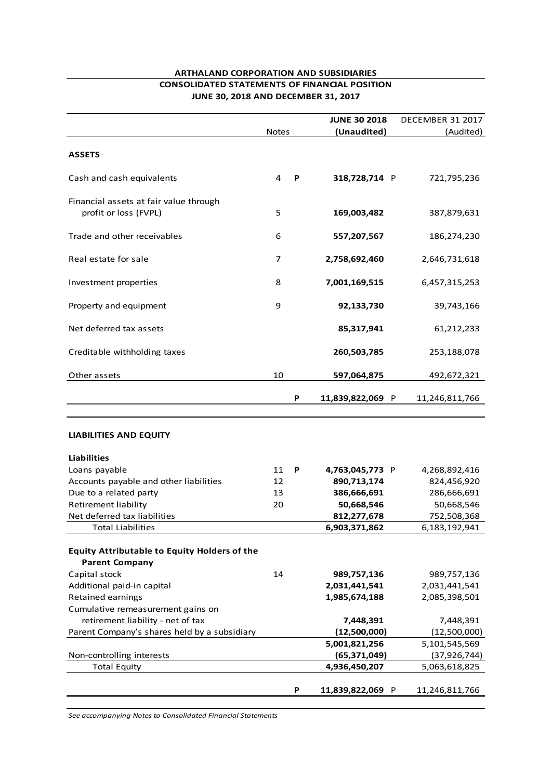## **ARTHALAND CORPORATION AND SUBSIDIARIES CONSOLIDATED STATEMENTS OF FINANCIAL POSITION JUNE 30, 2018 AND DECEMBER 31, 2017**

|                                                                              |              |   | <b>JUNE 30 2018</b>          | DECEMBER 31 2017           |
|------------------------------------------------------------------------------|--------------|---|------------------------------|----------------------------|
|                                                                              | <b>Notes</b> |   | (Unaudited)                  | (Audited)                  |
| <b>ASSETS</b>                                                                |              |   |                              |                            |
| Cash and cash equivalents                                                    | 4            | P | 318,728,714 P                | 721,795,236                |
| Financial assets at fair value through<br>profit or loss (FVPL)              | 5            |   | 169,003,482                  | 387,879,631                |
| Trade and other receivables                                                  | 6            |   | 557,207,567                  | 186,274,230                |
| Real estate for sale                                                         | 7            |   | 2,758,692,460                | 2,646,731,618              |
| Investment properties                                                        | 8            |   | 7,001,169,515                | 6,457,315,253              |
| Property and equipment                                                       | 9            |   | 92,133,730                   | 39,743,166                 |
| Net deferred tax assets                                                      |              |   | 85,317,941                   | 61,212,233                 |
| Creditable withholding taxes                                                 |              |   | 260,503,785                  | 253,188,078                |
| Other assets                                                                 | 10           |   | 597,064,875                  | 492,672,321                |
|                                                                              |              | P | 11,839,822,069 P             | 11,246,811,766             |
| <b>LIABILITIES AND EQUITY</b>                                                |              |   |                              |                            |
|                                                                              |              |   |                              |                            |
| <b>Liabilities</b>                                                           | 11           | P |                              |                            |
| Loans payable                                                                | 12           |   | 4,763,045,773 P              | 4,268,892,416              |
| Accounts payable and other liabilities<br>Due to a related party             | 13           |   | 890,713,174<br>386,666,691   | 824,456,920<br>286,666,691 |
| <b>Retirement liability</b>                                                  | 20           |   | 50,668,546                   | 50,668,546                 |
| Net deferred tax liabilities                                                 |              |   |                              | 752,508,368                |
| <b>Total Liabilities</b>                                                     |              |   | 812,277,678<br>6,903,371,862 | 6,183,192,941              |
|                                                                              |              |   |                              |                            |
| <b>Equity Attributable to Equity Holders of the</b><br><b>Parent Company</b> |              |   |                              |                            |
| Capital stock                                                                | 14           |   | 989,757,136                  | 989,757,136                |
| Additional paid-in capital                                                   |              |   | 2,031,441,541                | 2,031,441,541              |
| Retained earnings                                                            |              |   | 1,985,674,188                | 2,085,398,501              |
| Cumulative remeasurement gains on                                            |              |   |                              |                            |
| retirement liability - net of tax                                            |              |   | 7,448,391                    | 7,448,391                  |
| Parent Company's shares held by a subsidiary                                 |              |   | (12,500,000)                 | (12,500,000)               |
|                                                                              |              |   | 5,001,821,256                | 5,101,545,569              |
| Non-controlling interests                                                    |              |   | (65, 371, 049)               | (37, 926, 744)             |
| <b>Total Equity</b>                                                          |              |   | 4,936,450,207                | 5,063,618,825              |
|                                                                              |              |   |                              |                            |
|                                                                              |              | Ρ | 11,839,822,069 P             | 11,246,811,766             |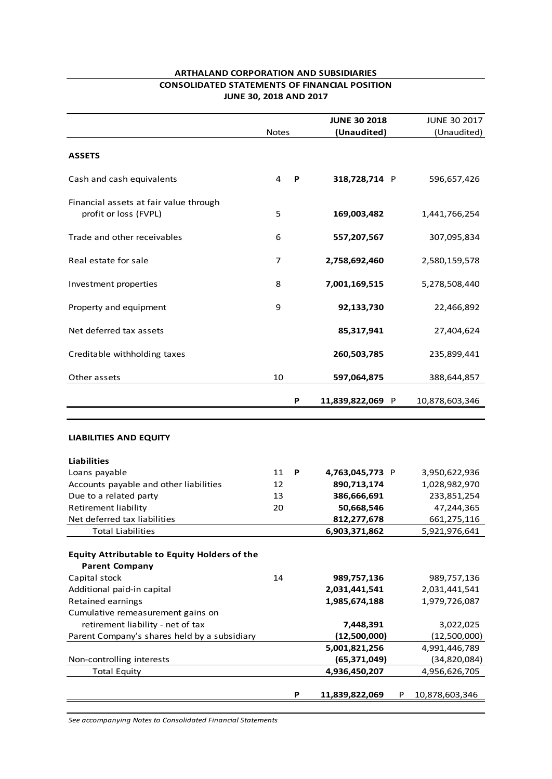## **ARTHALAND CORPORATION AND SUBSIDIARIES CONSOLIDATED STATEMENTS OF FINANCIAL POSITION JUNE 30, 2018 AND 2017**

|                                                                 |              |   | <b>JUNE 30 2018</b> | <b>JUNE 30 2017</b> |
|-----------------------------------------------------------------|--------------|---|---------------------|---------------------|
|                                                                 | <b>Notes</b> |   | (Unaudited)         | (Unaudited)         |
| <b>ASSETS</b>                                                   |              |   |                     |                     |
| Cash and cash equivalents                                       | 4            | P | 318,728,714 P       | 596,657,426         |
| Financial assets at fair value through<br>profit or loss (FVPL) | 5            |   | 169,003,482         | 1,441,766,254       |
| Trade and other receivables                                     | 6            |   | 557,207,567         | 307,095,834         |
| Real estate for sale                                            | 7            |   | 2,758,692,460       | 2,580,159,578       |
| Investment properties                                           | 8            |   | 7,001,169,515       | 5,278,508,440       |
| Property and equipment                                          | 9            |   | 92,133,730          | 22,466,892          |
| Net deferred tax assets                                         |              |   | 85,317,941          | 27,404,624          |
| Creditable withholding taxes                                    |              |   | 260,503,785         | 235,899,441         |
| Other assets                                                    | 10           |   | 597,064,875         | 388,644,857         |
|                                                                 |              | Ρ | 11,839,822,069 P    | 10,878,603,346      |
| <b>LIABILITIES AND EQUITY</b>                                   |              |   |                     |                     |
| <b>Liabilities</b>                                              |              |   |                     |                     |
| Loans payable                                                   | 11           | P | 4,763,045,773 P     | 3,950,622,936       |
| Accounts payable and other liabilities                          | 12           |   | 890,713,174         | 1,028,982,970       |
| Due to a related party                                          | 13           |   | 386,666,691         | 233,851,254         |
| <b>Retirement liability</b>                                     | 20           |   | 50,668,546          | 47,244,365          |
| Net deferred tax liabilities                                    |              |   | 812,277,678         | 661,275,116         |
| <b>Total Liabilities</b>                                        |              |   | 6,903,371,862       | 5,921,976,641       |
|                                                                 |              |   |                     |                     |
| <b>Equity Attributable to Equity Holders of the</b>             |              |   |                     |                     |
| <b>Parent Company</b>                                           |              |   |                     |                     |
| Capital stock                                                   | 14           |   | 989,757,136         | 989,757,136         |
| Additional paid-in capital                                      |              |   | 2,031,441,541       | 2,031,441,541       |
| <b>Retained earnings</b>                                        |              |   | 1,985,674,188       | 1,979,726,087       |
| Cumulative remeasurement gains on                               |              |   |                     |                     |
| retirement liability - net of tax                               |              |   | 7,448,391           | 3,022,025           |
| Parent Company's shares held by a subsidiary                    |              |   | (12,500,000)        | (12,500,000)        |
|                                                                 |              |   | 5,001,821,256       | 4,991,446,789       |
| Non-controlling interests                                       |              |   | (65, 371, 049)      | (34, 820, 084)      |
| <b>Total Equity</b>                                             |              |   | 4,936,450,207       | 4,956,626,705       |
|                                                                 |              | Ρ | 11,839,822,069<br>P | 10,878,603,346      |
|                                                                 |              |   |                     |                     |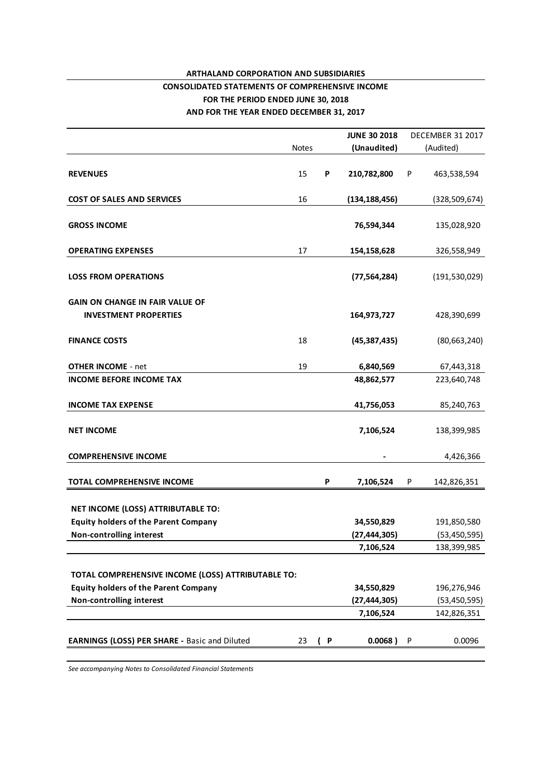## **ARTHALAND CORPORATION AND SUBSIDIARIES CONSOLIDATED STATEMENTS OF COMPREHENSIVE INCOME**

## **FOR THE PERIOD ENDED JUNE 30, 2018**

**AND FOR THE YEAR ENDED DECEMBER 31, 2017**

|                                                      |              |   | <b>JUNE 30 2018</b> |   | <b>DECEMBER 31 2017</b> |
|------------------------------------------------------|--------------|---|---------------------|---|-------------------------|
|                                                      | <b>Notes</b> |   | (Unaudited)         |   | (Audited)               |
| <b>REVENUES</b>                                      | 15           | P | 210,782,800         | P | 463,538,594             |
| <b>COST OF SALES AND SERVICES</b>                    | 16           |   | (134, 188, 456)     |   | (328, 509, 674)         |
| <b>GROSS INCOME</b>                                  |              |   | 76,594,344          |   | 135,028,920             |
| <b>OPERATING EXPENSES</b>                            | 17           |   | 154,158,628         |   | 326,558,949             |
| <b>LOSS FROM OPERATIONS</b>                          |              |   | (77, 564, 284)      |   | (191, 530, 029)         |
| <b>GAIN ON CHANGE IN FAIR VALUE OF</b>               |              |   |                     |   |                         |
| <b>INVESTMENT PROPERTIES</b>                         |              |   | 164,973,727         |   | 428,390,699             |
| <b>FINANCE COSTS</b>                                 | 18           |   | (45, 387, 435)      |   | (80, 663, 240)          |
| <b>OTHER INCOME - net</b>                            | 19           |   | 6,840,569           |   | 67,443,318              |
| <b>INCOME BEFORE INCOME TAX</b>                      |              |   | 48,862,577          |   | 223,640,748             |
| <b>INCOME TAX EXPENSE</b>                            |              |   | 41,756,053          |   | 85,240,763              |
| <b>NET INCOME</b>                                    |              |   | 7,106,524           |   | 138,399,985             |
| <b>COMPREHENSIVE INCOME</b>                          |              |   |                     |   | 4,426,366               |
| TOTAL COMPREHENSIVE INCOME                           |              | P | 7,106,524           | P | 142,826,351             |
| NET INCOME (LOSS) ATTRIBUTABLE TO:                   |              |   |                     |   |                         |
| <b>Equity holders of the Parent Company</b>          |              |   | 34,550,829          |   | 191,850,580             |
| <b>Non-controlling interest</b>                      |              |   | (27, 444, 305)      |   | (53, 450, 595)          |
|                                                      |              |   | 7,106,524           |   | 138,399,985             |
| TOTAL COMPREHENSIVE INCOME (LOSS) ATTRIBUTABLE TO:   |              |   |                     |   |                         |
| <b>Equity holders of the Parent Company</b>          |              |   | 34,550,829          |   | 196,276,946             |
| Non-controlling interest                             |              |   | (27, 444, 305)      |   | (53, 450, 595)          |
|                                                      |              |   | 7,106,524           |   | 142,826,351             |
| <b>EARNINGS (LOSS) PER SHARE - Basic and Diluted</b> | 23           | P | 0.0068)             | P | 0.0096                  |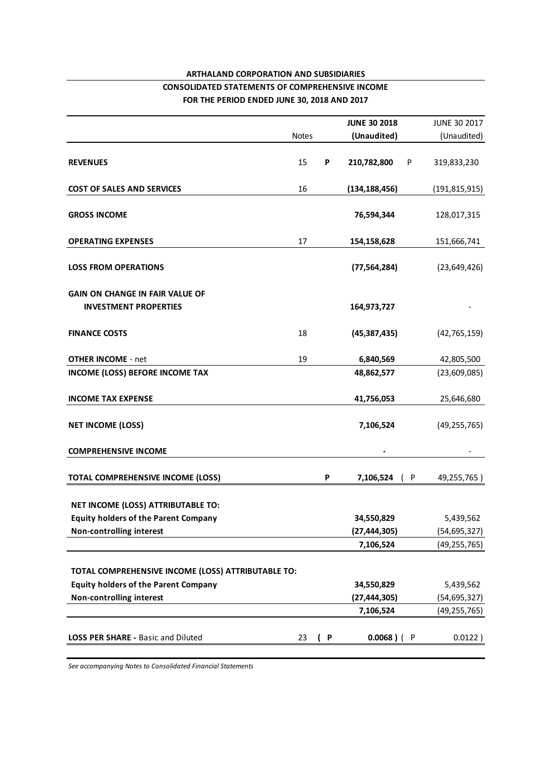## **ARTHALAND CORPORATION AND SUBSIDIARIES CONSOLIDATED STATEMENTS OF COMPREHENSIVE INCOME FOR THE PERIOD ENDED JUNE 30, 2018 AND 2017**

|                                                    |              |   | <b>JUNE 30 2018</b>         | JUNE 30 2017                     |
|----------------------------------------------------|--------------|---|-----------------------------|----------------------------------|
|                                                    | <b>Notes</b> |   | (Unaudited)                 | (Unaudited)                      |
|                                                    |              |   |                             |                                  |
| <b>REVENUES</b>                                    | 15           | P | 210,782,800<br>P            | 319,833,230                      |
| <b>COST OF SALES AND SERVICES</b>                  | 16           |   | (134, 188, 456)             | (191, 815, 915)                  |
| <b>GROSS INCOME</b>                                |              |   | 76,594,344                  | 128,017,315                      |
| <b>OPERATING EXPENSES</b>                          | 17           |   | 154,158,628                 | 151,666,741                      |
| <b>LOSS FROM OPERATIONS</b>                        |              |   | (77, 564, 284)              | (23, 649, 426)                   |
| <b>GAIN ON CHANGE IN FAIR VALUE OF</b>             |              |   |                             |                                  |
| <b>INVESTMENT PROPERTIES</b>                       |              |   | 164,973,727                 |                                  |
|                                                    |              |   |                             |                                  |
| <b>FINANCE COSTS</b>                               | 18           |   | (45, 387, 435)              | (42, 765, 159)                   |
|                                                    |              |   |                             |                                  |
| <b>OTHER INCOME - net</b>                          | 19           |   | 6,840,569                   | 42,805,500                       |
| <b>INCOME (LOSS) BEFORE INCOME TAX</b>             |              |   | 48,862,577                  | (23,609,085)                     |
| <b>INCOME TAX EXPENSE</b>                          |              |   | 41,756,053                  | 25,646,680                       |
| <b>NET INCOME (LOSS)</b>                           |              |   | 7,106,524                   | (49, 255, 765)                   |
| <b>COMPREHENSIVE INCOME</b>                        |              |   |                             |                                  |
| TOTAL COMPREHENSIVE INCOME (LOSS)                  |              | P | 7,106,524<br>( P            | 49,255,765)                      |
|                                                    |              |   |                             |                                  |
| NET INCOME (LOSS) ATTRIBUTABLE TO:                 |              |   |                             |                                  |
| <b>Equity holders of the Parent Company</b>        |              |   | 34,550,829                  | 5,439,562                        |
| Non-controlling interest                           |              |   | (27, 444, 305)<br>7,106,524 | (54, 695, 327)<br>(49, 255, 765) |
|                                                    |              |   |                             |                                  |
| TOTAL COMPREHENSIVE INCOME (LOSS) ATTRIBUTABLE TO: |              |   |                             |                                  |
| <b>Equity holders of the Parent Company</b>        |              |   | 34,550,829                  | 5,439,562                        |
| <b>Non-controlling interest</b>                    |              |   | (27, 444, 305)              | (54, 695, 327)                   |
|                                                    |              |   | 7,106,524                   | (49, 255, 765)                   |
|                                                    |              |   |                             |                                  |
| <b>LOSS PER SHARE - Basic and Diluted</b>          | 23           | P | $0.0068$ ) (<br>- P         | 0.0122)                          |
|                                                    |              |   |                             |                                  |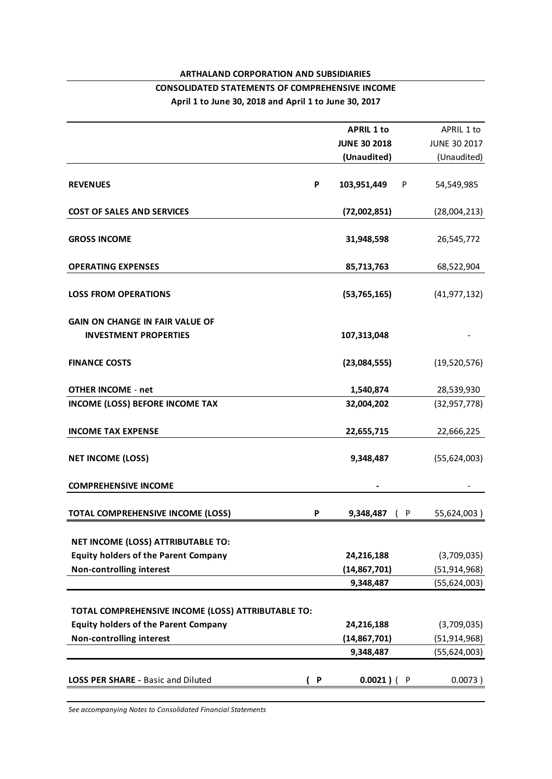## **ARTHALAND CORPORATION AND SUBSIDIARIES CONSOLIDATED STATEMENTS OF COMPREHENSIVE INCOME April 1 to June 30, 2018 and April 1 to June 30, 2017**

|     | <b>APRIL 1 to</b>                                  | APRIL 1 to                   |
|-----|----------------------------------------------------|------------------------------|
|     | <b>JUNE 30 2018</b>                                | <b>JUNE 30 2017</b>          |
|     | (Unaudited)                                        | (Unaudited)                  |
| P   | 103,951,449<br>P                                   | 54,549,985                   |
|     | (72,002,851)                                       | (28,004,213)                 |
|     | 31,948,598                                         | 26,545,772                   |
|     | 85,713,763                                         | 68,522,904                   |
|     | (53, 765, 165)                                     | (41, 977, 132)               |
|     |                                                    |                              |
|     | 107,313,048                                        |                              |
|     | (23,084,555)                                       | (19,520,576)                 |
|     | 1,540,874                                          | 28,539,930                   |
|     | 32,004,202                                         | (32, 957, 778)               |
|     | 22,655,715                                         | 22,666,225                   |
|     | 9,348,487                                          | (55,624,003)                 |
|     |                                                    |                              |
| P   | 9,348,487<br>( P                                   | 55,624,003)                  |
|     |                                                    |                              |
|     | 24,216,188                                         | (3,709,035)                  |
|     | (14, 867, 701)                                     | (51, 914, 968)               |
|     | 9,348,487                                          | (55,624,003)                 |
|     |                                                    |                              |
|     |                                                    | (3,709,035)                  |
|     |                                                    | (51, 914, 968)               |
|     | 9,348,487                                          | (55, 624, 003)               |
| ( P | $0.0021$ ) ( P                                     | 0.0073)                      |
|     | TOTAL COMPREHENSIVE INCOME (LOSS) ATTRIBUTABLE TO: | 24,216,188<br>(14, 867, 701) |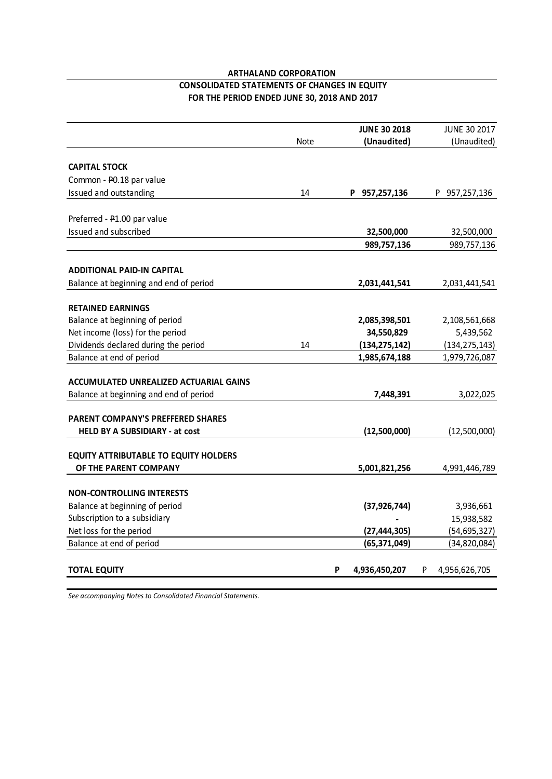## **ARTHALAND CORPORATION CONSOLIDATED STATEMENTS OF CHANGES IN EQUITY**

**FOR THE PERIOD ENDED JUNE 30, 2018 AND 2017**

|                                               |             |   | <b>JUNE 30 2018</b> |   | <b>JUNE 30 2017</b> |
|-----------------------------------------------|-------------|---|---------------------|---|---------------------|
|                                               | <b>Note</b> |   | (Unaudited)         |   | (Unaudited)         |
|                                               |             |   |                     |   |                     |
| <b>CAPITAL STOCK</b>                          |             |   |                     |   |                     |
| Common - P0.18 par value                      |             |   |                     |   |                     |
| Issued and outstanding                        | 14          |   | P 957,257,136       |   | P 957,257,136       |
|                                               |             |   |                     |   |                     |
| Preferred - P1.00 par value                   |             |   |                     |   |                     |
| Issued and subscribed                         |             |   | 32,500,000          |   | 32,500,000          |
|                                               |             |   | 989,757,136         |   | 989,757,136         |
| <b>ADDITIONAL PAID-IN CAPITAL</b>             |             |   |                     |   |                     |
| Balance at beginning and end of period        |             |   | 2,031,441,541       |   | 2,031,441,541       |
|                                               |             |   |                     |   |                     |
| <b>RETAINED EARNINGS</b>                      |             |   |                     |   |                     |
| Balance at beginning of period                |             |   | 2,085,398,501       |   | 2,108,561,668       |
| Net income (loss) for the period              |             |   | 34,550,829          |   | 5,439,562           |
| Dividends declared during the period          | 14          |   | (134, 275, 142)     |   | (134, 275, 143)     |
| Balance at end of period                      |             |   | 1,985,674,188       |   | 1,979,726,087       |
| <b>ACCUMULATED UNREALIZED ACTUARIAL GAINS</b> |             |   |                     |   |                     |
| Balance at beginning and end of period        |             |   | 7,448,391           |   | 3,022,025           |
|                                               |             |   |                     |   |                     |
| <b>PARENT COMPANY'S PREFFERED SHARES</b>      |             |   |                     |   |                     |
| <b>HELD BY A SUBSIDIARY - at cost</b>         |             |   | (12,500,000)        |   | (12,500,000)        |
| <b>EQUITY ATTRIBUTABLE TO EQUITY HOLDERS</b>  |             |   |                     |   |                     |
| OF THE PARENT COMPANY                         |             |   | 5,001,821,256       |   | 4,991,446,789       |
|                                               |             |   |                     |   |                     |
| <b>NON-CONTROLLING INTERESTS</b>              |             |   |                     |   |                     |
| Balance at beginning of period                |             |   | (37, 926, 744)      |   | 3,936,661           |
| Subscription to a subsidiary                  |             |   |                     |   | 15,938,582          |
| Net loss for the period                       |             |   | (27, 444, 305)      |   | (54, 695, 327)      |
| Balance at end of period                      |             |   | (65, 371, 049)      |   | (34, 820, 084)      |
|                                               |             |   |                     |   |                     |
| <b>TOTAL EQUITY</b>                           |             | P | 4,936,450,207       | P | 4,956,626,705       |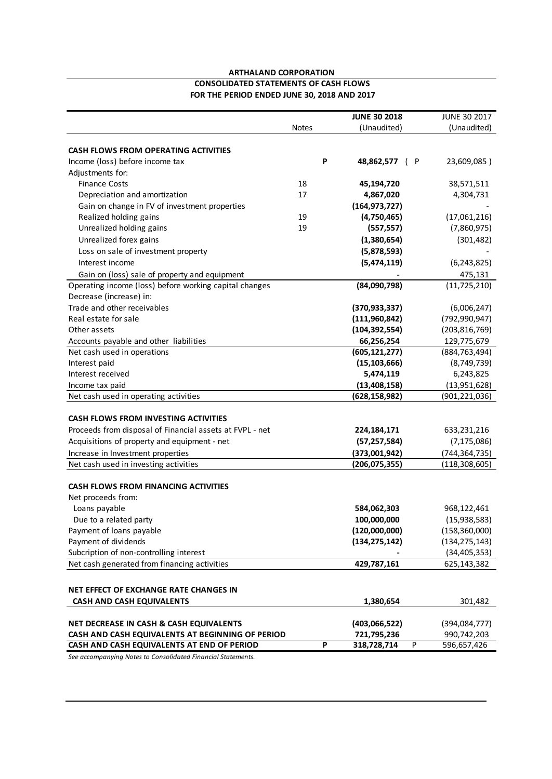#### **CONSOLIDATED STATEMENTS OF CASH FLOWS ARTHALAND CORPORATION FOR THE PERIOD ENDED JUNE 30, 2018 AND 2017**

|                                                          |              | <b>JUNE 30 2018</b> | JUNE 30 2017     |                |
|----------------------------------------------------------|--------------|---------------------|------------------|----------------|
|                                                          | <b>Notes</b> | (Unaudited)         |                  | (Unaudited)    |
|                                                          |              |                     |                  |                |
| <b>CASH FLOWS FROM OPERATING ACTIVITIES</b>              |              |                     |                  |                |
| Income (loss) before income tax                          | P            | 48,862,577          | ( P              | 23,609,085)    |
| Adjustments for:                                         |              |                     |                  |                |
| <b>Finance Costs</b>                                     | 18           | 45,194,720          |                  | 38,571,511     |
| Depreciation and amortization                            | 17           | 4,867,020           |                  | 4,304,731      |
| Gain on change in FV of investment properties            |              | (164, 973, 727)     |                  |                |
| Realized holding gains                                   | 19           | (4,750,465)         |                  | (17,061,216)   |
| Unrealized holding gains                                 | 19           | (557, 557)          |                  | (7,860,975)    |
| Unrealized forex gains                                   |              | (1,380,654)         |                  | (301, 482)     |
| Loss on sale of investment property                      |              | (5,878,593)         |                  |                |
| Interest income                                          |              | (5,474,119)         |                  | (6, 243, 825)  |
| Gain on (loss) sale of property and equipment            |              |                     |                  | 475,131        |
| Operating income (loss) before working capital changes   |              | (84,090,798)        |                  | (11, 725, 210) |
| Decrease (increase) in:                                  |              |                     |                  |                |
| Trade and other receivables                              |              | (370, 933, 337)     |                  | (6,006,247)    |
| Real estate for sale                                     |              | (111, 960, 842)     | (792, 990, 947)  |                |
| Other assets                                             |              | (104, 392, 554)     | (203, 816, 769)  |                |
| Accounts payable and other liabilities                   |              | 66,256,254          | 129,775,679      |                |
| Net cash used in operations                              |              | (605, 121, 277)     | (884, 763, 494)  |                |
| Interest paid                                            |              | (15, 103, 666)      |                  | (8,749,739)    |
| Interest received                                        |              | 5,474,119           |                  | 6,243,825      |
| Income tax paid                                          |              | (13, 408, 158)      |                  | (13, 951, 628) |
| Net cash used in operating activities                    |              | (628,158,982)       | (901, 221, 036)  |                |
|                                                          |              |                     |                  |                |
| <b>CASH FLOWS FROM INVESTING ACTIVITIES</b>              |              |                     |                  |                |
| Proceeds from disposal of Financial assets at FVPL - net |              | 224,184,171         | 633,231,216      |                |
| Acquisitions of property and equipment - net             |              | (57, 257, 584)      |                  | (7, 175, 086)  |
| Increase in Investment properties                        |              | (373,001,942)       | (744, 364, 735)  |                |
| Net cash used in investing activities                    |              | (206, 075, 355)     | (118, 308, 605)  |                |
|                                                          |              |                     |                  |                |
| <b>CASH FLOWS FROM FINANCING ACTIVITIES</b>              |              |                     |                  |                |
| Net proceeds from:                                       |              |                     |                  |                |
| Loans payable                                            |              | 584,062,303         | 968,122,461      |                |
| Due to a related party                                   |              | 100,000,000         |                  | (15, 938, 583) |
| Payment of loans payable                                 |              | (120,000,000)       | (158, 360, 000)  |                |
| Payment of dividends                                     |              | (134, 275, 142)     | (134, 275, 143)  |                |
| Subcription of non-controlling interest                  |              |                     |                  | (34, 405, 353) |
| Net cash generated from financing activities             |              | 429,787,161         | 625,143,382      |                |
|                                                          |              |                     |                  |                |
| NET EFFECT OF EXCHANGE RATE CHANGES IN                   |              |                     |                  |                |
| <b>CASH AND CASH EQUIVALENTS</b>                         |              | 1,380,654           |                  | 301,482        |
|                                                          |              |                     |                  |                |
| <b>NET DECREASE IN CASH &amp; CASH EQUIVALENTS</b>       |              | (403,066,522)       | (394, 084, 777)  |                |
| CASH AND CASH EQUIVALENTS AT BEGINNING OF PERIOD         |              | 721,795,236         | 990,742,203      |                |
| CASH AND CASH EQUIVALENTS AT END OF PERIOD               | P            | 318,728,714         | P<br>596,657,426 |                |
|                                                          |              |                     |                  |                |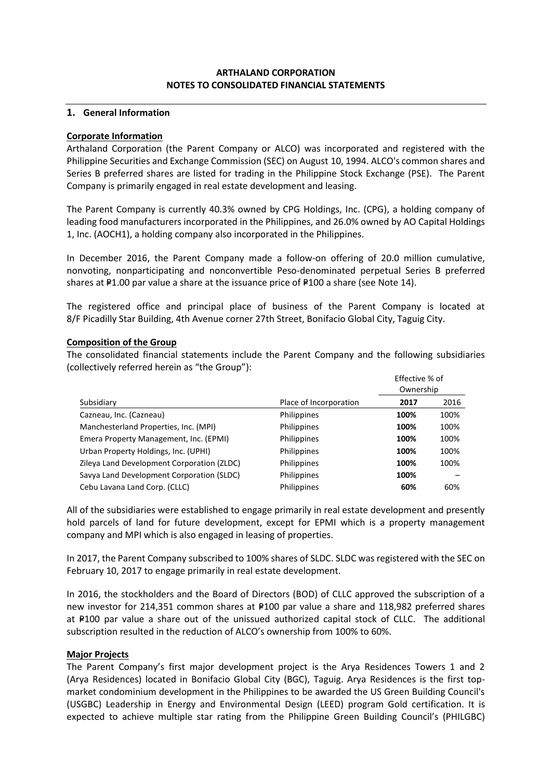## **ARTHALAND CORPORATION NOTES TO CONSOLIDATED FINANCIAL STATEMENTS**

## **1. General Information**

#### **Corporate Information**

Arthaland Corporation (the Parent Company or ALCO) was incorporated and registered with the Philippine Securities and Exchange Commission (SEC) on August 10, 1994. ALCO's common shares and Series B preferred shares are listed for trading in the Philippine Stock Exchange (PSE). The Parent Company is primarily engaged in real estate development and leasing.

The Parent Company is currently 40.3% owned by CPG Holdings, Inc. (CPG), a holding company of leading food manufacturers incorporated in the Philippines, and 26.0% owned by AO Capital Holdings 1, Inc. (AOCH1), a holding company also incorporated in the Philippines.

In December 2016, the Parent Company made a follow-on offering of 20.0 million cumulative, nonvoting, nonparticipating and nonconvertible Peso-denominated perpetual Series B preferred shares at  $P1.00$  par value a share at the issuance price of  $P100$  a share (see Note 14).

The registered office and principal place of business of the Parent Company is located at 8/F Picadilly Star Building, 4th Avenue corner 27th Street, Bonifacio Global City, Taguig City.

#### **Composition of the Group**

The consolidated financial statements include the Parent Company and the following subsidiaries (collectively referred herein as "the Group"):

Effective % of

|                                            |                        | Ownership |      |
|--------------------------------------------|------------------------|-----------|------|
| Subsidiary                                 | Place of Incorporation | 2017      | 2016 |
| Cazneau, Inc. (Cazneau)                    | Philippines            | 100%      | 100% |
| Manchesterland Properties, Inc. (MPI)      | Philippines            | 100%      | 100% |
| Emera Property Management, Inc. (EPMI)     | Philippines            | 100%      | 100% |
| Urban Property Holdings, Inc. (UPHI)       | Philippines            | 100%      | 100% |
| Zileya Land Development Corporation (ZLDC) | Philippines            | 100%      | 100% |
| Savya Land Development Corporation (SLDC)  | Philippines            | 100%      |      |
| Cebu Lavana Land Corp. (CLLC)              | Philippines            | 60%       | 60%  |

All of the subsidiaries were established to engage primarily in real estate development and presently hold parcels of land for future development, except for EPMI which is a property management company and MPI which is also engaged in leasing of properties.

In 2017, the Parent Company subscribed to 100% shares of SLDC. SLDC was registered with the SEC on February 10, 2017 to engage primarily in real estate development.

In 2016, the stockholders and the Board of Directors (BOD) of CLLC approved the subscription of a new investor for 214,351 common shares at P100 par value a share and 118,982 preferred shares at P100 par value a share out of the unissued authorized capital stock of CLLC. The additional subscription resulted in the reduction of ALCO's ownership from 100% to 60%.

## **Major Projects**

The Parent Company's first major development project is the Arya Residences Towers 1 and 2 (Arya Residences) located in Bonifacio Global City (BGC), Taguig. Arya Residences is the first topmarket condominium development in the Philippines to be awarded the US Green Building Council's (USGBC) Leadership in Energy and Environmental Design (LEED) program Gold certification. It is expected to achieve multiple star rating from the Philippine Green Building Council's (PHILGBC)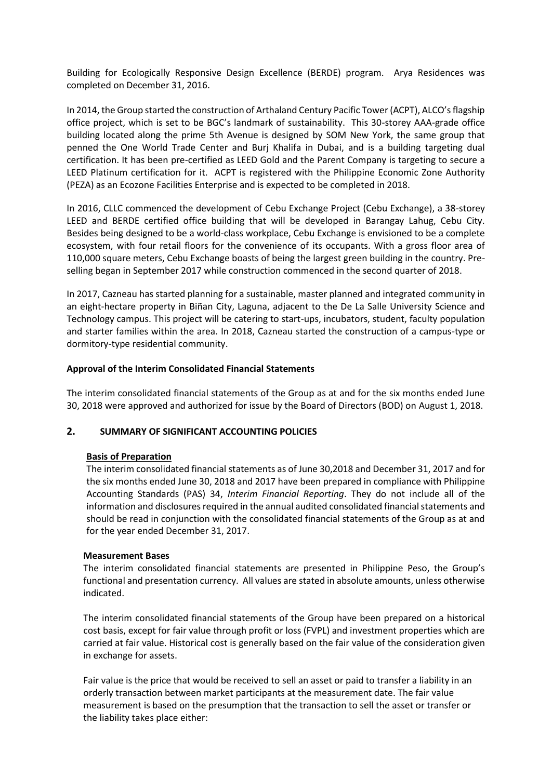Building for Ecologically Responsive Design Excellence (BERDE) program. Arya Residences was completed on December 31, 2016.

In 2014, the Group started the construction of Arthaland Century Pacific Tower (ACPT), ALCO's flagship office project, which is set to be BGC's landmark of sustainability. This 30-storey AAA-grade office building located along the prime 5th Avenue is designed by SOM New York, the same group that penned the One World Trade Center and Burj Khalifa in Dubai, and is a building targeting dual certification. It has been pre-certified as LEED Gold and the Parent Company is targeting to secure a LEED Platinum certification for it. ACPT is registered with the Philippine Economic Zone Authority (PEZA) as an Ecozone Facilities Enterprise and is expected to be completed in 2018.

In 2016, CLLC commenced the development of Cebu Exchange Project (Cebu Exchange), a 38-storey LEED and BERDE certified office building that will be developed in Barangay Lahug, Cebu City. Besides being designed to be a world-class workplace, Cebu Exchange is envisioned to be a complete ecosystem, with four retail floors for the convenience of its occupants. With a gross floor area of 110,000 square meters, Cebu Exchange boasts of being the largest green building in the country. Preselling began in September 2017 while construction commenced in the second quarter of 2018.

In 2017, Cazneau has started planning for a sustainable, master planned and integrated community in an eight-hectare property in Biñan City, Laguna, adjacent to the De La Salle University Science and Technology campus. This project will be catering to start-ups, incubators, student, faculty population and starter families within the area. In 2018, Cazneau started the construction of a campus-type or dormitory-type residential community.

## **Approval of the Interim Consolidated Financial Statements**

The interim consolidated financial statements of the Group as at and for the six months ended June 30, 2018 were approved and authorized for issue by the Board of Directors (BOD) on August 1, 2018.

## **2. SUMMARY OF SIGNIFICANT ACCOUNTING POLICIES**

#### **Basis of Preparation**

The interim consolidated financial statements as of June 30,2018 and December 31, 2017 and for the six months ended June 30, 2018 and 2017 have been prepared in compliance with Philippine Accounting Standards (PAS) 34, *Interim Financial Reporting*. They do not include all of the information and disclosures required in the annual audited consolidated financial statements and should be read in conjunction with the consolidated financial statements of the Group as at and for the year ended December 31, 2017.

#### **Measurement Bases**

The interim consolidated financial statements are presented in Philippine Peso, the Group's functional and presentation currency. All values are stated in absolute amounts, unless otherwise indicated.

The interim consolidated financial statements of the Group have been prepared on a historical cost basis, except for fair value through profit or loss (FVPL) and investment properties which are carried at fair value. Historical cost is generally based on the fair value of the consideration given in exchange for assets.

Fair value is the price that would be received to sell an asset or paid to transfer a liability in an orderly transaction between market participants at the measurement date. The fair value measurement is based on the presumption that the transaction to sell the asset or transfer or the liability takes place either: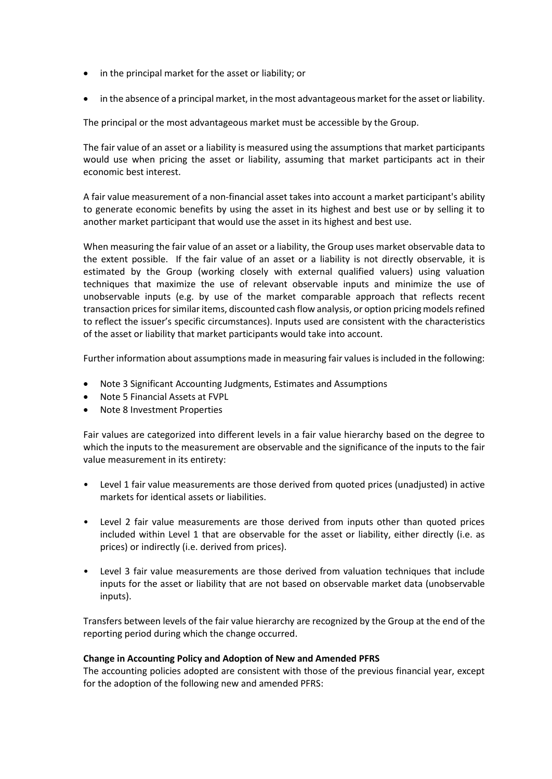- in the principal market for the asset or liability; or
- in the absence of a principal market, in the most advantageous market for the asset or liability.

The principal or the most advantageous market must be accessible by the Group.

The fair value of an asset or a liability is measured using the assumptions that market participants would use when pricing the asset or liability, assuming that market participants act in their economic best interest.

A fair value measurement of a non-financial asset takes into account a market participant's ability to generate economic benefits by using the asset in its highest and best use or by selling it to another market participant that would use the asset in its highest and best use.

When measuring the fair value of an asset or a liability, the Group uses market observable data to the extent possible. If the fair value of an asset or a liability is not directly observable, it is estimated by the Group (working closely with external qualified valuers) using valuation techniques that maximize the use of relevant observable inputs and minimize the use of unobservable inputs (e.g. by use of the market comparable approach that reflects recent transaction prices for similar items, discounted cash flow analysis, or option pricing models refined to reflect the issuer's specific circumstances). Inputs used are consistent with the characteristics of the asset or liability that market participants would take into account.

Further information about assumptions made in measuring fair values is included in the following:

- Note 3 Significant Accounting Judgments, Estimates and Assumptions
- Note 5 Financial Assets at FVPL
- Note 8 Investment Properties

Fair values are categorized into different levels in a fair value hierarchy based on the degree to which the inputs to the measurement are observable and the significance of the inputs to the fair value measurement in its entirety:

- Level 1 fair value measurements are those derived from quoted prices (unadjusted) in active markets for identical assets or liabilities.
- Level 2 fair value measurements are those derived from inputs other than quoted prices included within Level 1 that are observable for the asset or liability, either directly (i.e. as prices) or indirectly (i.e. derived from prices).
- Level 3 fair value measurements are those derived from valuation techniques that include inputs for the asset or liability that are not based on observable market data (unobservable inputs).

Transfers between levels of the fair value hierarchy are recognized by the Group at the end of the reporting period during which the change occurred.

## **Change in Accounting Policy and Adoption of New and Amended PFRS**

The accounting policies adopted are consistent with those of the previous financial year, except for the adoption of the following new and amended PFRS: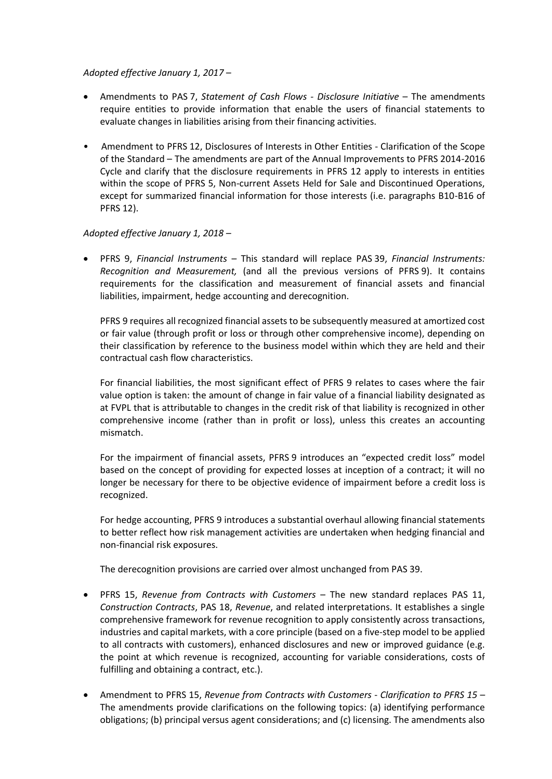## *Adopted effective January 1, 2017 –*

- Amendments to PAS 7, *Statement of Cash Flows - Disclosure Initiative* The amendments require entities to provide information that enable the users of financial statements to evaluate changes in liabilities arising from their financing activities.
- Amendment to PFRS 12, Disclosures of Interests in Other Entities Clarification of the Scope of the Standard – The amendments are part of the Annual Improvements to PFRS 2014-2016 Cycle and clarify that the disclosure requirements in PFRS 12 apply to interests in entities within the scope of PFRS 5, Non-current Assets Held for Sale and Discontinued Operations, except for summarized financial information for those interests (i.e. paragraphs B10-B16 of PFRS 12).

## *Adopted effective January 1, 2018 –*

• PFRS 9, *Financial Instruments* – This standard will replace PAS 39, *Financial Instruments: Recognition and Measurement,* (and all the previous versions of PFRS 9). It contains requirements for the classification and measurement of financial assets and financial liabilities, impairment, hedge accounting and derecognition.

PFRS 9 requires all recognized financial assets to be subsequently measured at amortized cost or fair value (through profit or loss or through other comprehensive income), depending on their classification by reference to the business model within which they are held and their contractual cash flow characteristics.

For financial liabilities, the most significant effect of PFRS 9 relates to cases where the fair value option is taken: the amount of change in fair value of a financial liability designated as at FVPL that is attributable to changes in the credit risk of that liability is recognized in other comprehensive income (rather than in profit or loss), unless this creates an accounting mismatch.

For the impairment of financial assets, PFRS 9 introduces an "expected credit loss" model based on the concept of providing for expected losses at inception of a contract; it will no longer be necessary for there to be objective evidence of impairment before a credit loss is recognized.

For hedge accounting, PFRS 9 introduces a substantial overhaul allowing financial statements to better reflect how risk management activities are undertaken when hedging financial and non-financial risk exposures.

The derecognition provisions are carried over almost unchanged from PAS 39.

- PFRS 15, *Revenue from Contracts with Customers* The new standard replaces PAS 11, *Construction Contracts*, PAS 18, *Revenue*, and related interpretations. It establishes a single comprehensive framework for revenue recognition to apply consistently across transactions, industries and capital markets, with a core principle (based on a five-step model to be applied to all contracts with customers), enhanced disclosures and new or improved guidance (e.g. the point at which revenue is recognized, accounting for variable considerations, costs of fulfilling and obtaining a contract, etc.).
- Amendment to PFRS 15, *Revenue from Contracts with Customers Clarification to PFRS 15* The amendments provide clarifications on the following topics: (a) identifying performance obligations; (b) principal versus agent considerations; and (c) licensing. The amendments also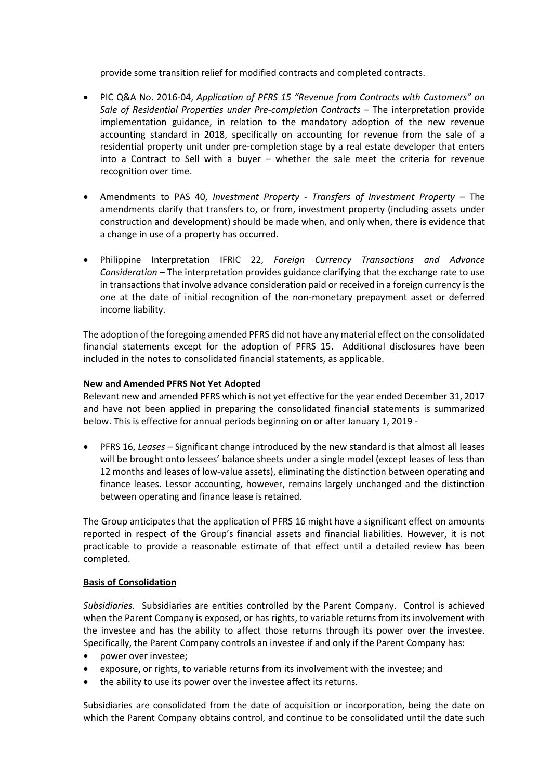provide some transition relief for modified contracts and completed contracts.

- PIC Q&A No. 2016-04, *Application of PFRS 15 "Revenue from Contracts with Customers" on Sale of Residential Properties under Pre-completion Contracts –* The interpretation provide implementation guidance, in relation to the mandatory adoption of the new revenue accounting standard in 2018, specifically on accounting for revenue from the sale of a residential property unit under pre-completion stage by a real estate developer that enters into a Contract to Sell with a buyer – whether the sale meet the criteria for revenue recognition over time.
- Amendments to PAS 40, *Investment Property - Transfers of Investment Property* The amendments clarify that transfers to, or from, investment property (including assets under construction and development) should be made when, and only when, there is evidence that a change in use of a property has occurred.
- Philippine Interpretation IFRIC 22, *Foreign Currency Transactions and Advance Consideration* – The interpretation provides guidance clarifying that the exchange rate to use in transactions that involve advance consideration paid or received in a foreign currency is the one at the date of initial recognition of the non-monetary prepayment asset or deferred income liability.

The adoption of the foregoing amended PFRS did not have any material effect on the consolidated financial statements except for the adoption of PFRS 15. Additional disclosures have been included in the notes to consolidated financial statements, as applicable.

## **New and Amended PFRS Not Yet Adopted**

Relevant new and amended PFRS which is not yet effective for the year ended December 31, 2017 and have not been applied in preparing the consolidated financial statements is summarized below. This is effective for annual periods beginning on or after January 1, 2019 -

• PFRS 16, *Leases –* Significant change introduced by the new standard is that almost all leases will be brought onto lessees' balance sheets under a single model (except leases of less than 12 months and leases of low-value assets), eliminating the distinction between operating and finance leases. Lessor accounting, however, remains largely unchanged and the distinction between operating and finance lease is retained.

The Group anticipates that the application of PFRS 16 might have a significant effect on amounts reported in respect of the Group's financial assets and financial liabilities. However, it is not practicable to provide a reasonable estimate of that effect until a detailed review has been completed.

## **Basis of Consolidation**

*Subsidiaries.* Subsidiaries are entities controlled by the Parent Company. Control is achieved when the Parent Company is exposed, or has rights, to variable returns from its involvement with the investee and has the ability to affect those returns through its power over the investee. Specifically, the Parent Company controls an investee if and only if the Parent Company has:

- power over investee;
- exposure, or rights, to variable returns from its involvement with the investee; and
- the ability to use its power over the investee affect its returns.

Subsidiaries are consolidated from the date of acquisition or incorporation, being the date on which the Parent Company obtains control, and continue to be consolidated until the date such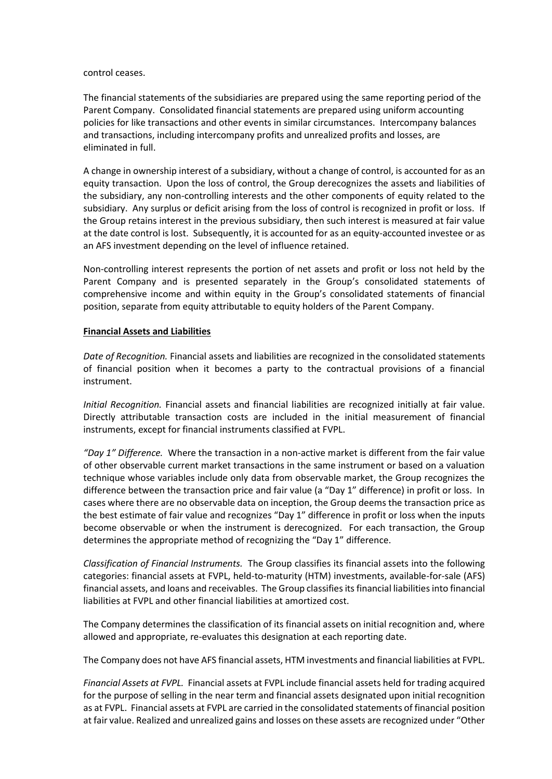control ceases.

The financial statements of the subsidiaries are prepared using the same reporting period of the Parent Company. Consolidated financial statements are prepared using uniform accounting policies for like transactions and other events in similar circumstances. Intercompany balances and transactions, including intercompany profits and unrealized profits and losses, are eliminated in full.

A change in ownership interest of a subsidiary, without a change of control, is accounted for as an equity transaction. Upon the loss of control, the Group derecognizes the assets and liabilities of the subsidiary, any non-controlling interests and the other components of equity related to the subsidiary. Any surplus or deficit arising from the loss of control is recognized in profit or loss. If the Group retains interest in the previous subsidiary, then such interest is measured at fair value at the date control is lost. Subsequently, it is accounted for as an equity-accounted investee or as an AFS investment depending on the level of influence retained.

Non-controlling interest represents the portion of net assets and profit or loss not held by the Parent Company and is presented separately in the Group's consolidated statements of comprehensive income and within equity in the Group's consolidated statements of financial position, separate from equity attributable to equity holders of the Parent Company.

## **Financial Assets and Liabilities**

*Date of Recognition.* Financial assets and liabilities are recognized in the consolidated statements of financial position when it becomes a party to the contractual provisions of a financial instrument.

*Initial Recognition.* Financial assets and financial liabilities are recognized initially at fair value. Directly attributable transaction costs are included in the initial measurement of financial instruments, except for financial instruments classified at FVPL.

*"Day 1" Difference.* Where the transaction in a non-active market is different from the fair value of other observable current market transactions in the same instrument or based on a valuation technique whose variables include only data from observable market, the Group recognizes the difference between the transaction price and fair value (a "Day 1" difference) in profit or loss. In cases where there are no observable data on inception, the Group deems the transaction price as the best estimate of fair value and recognizes "Day 1" difference in profit or loss when the inputs become observable or when the instrument is derecognized. For each transaction, the Group determines the appropriate method of recognizing the "Day 1" difference.

*Classification of Financial Instruments.* The Group classifies its financial assets into the following categories: financial assets at FVPL, held-to-maturity (HTM) investments, available-for-sale (AFS) financial assets, and loans and receivables. The Group classifies its financial liabilities into financial liabilities at FVPL and other financial liabilities at amortized cost.

The Company determines the classification of its financial assets on initial recognition and, where allowed and appropriate, re-evaluates this designation at each reporting date.

The Company does not have AFS financial assets, HTM investments and financial liabilities at FVPL.

*Financial Assets at FVPL.* Financial assets at FVPL include financial assets held for trading acquired for the purpose of selling in the near term and financial assets designated upon initial recognition as at FVPL. Financial assets at FVPL are carried in the consolidated statements of financial position at fair value. Realized and unrealized gains and losses on these assets are recognized under "Other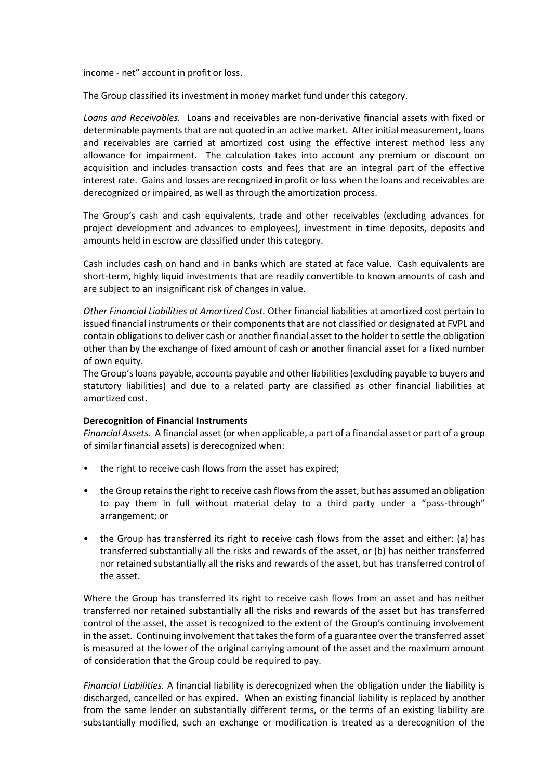income - net" account in profit or loss.

The Group classified its investment in money market fund under this category.

*Loans and Receivables.* Loans and receivables are non-derivative financial assets with fixed or determinable payments that are not quoted in an active market. After initial measurement, loans and receivables are carried at amortized cost using the effective interest method less any allowance for impairment. The calculation takes into account any premium or discount on acquisition and includes transaction costs and fees that are an integral part of the effective interest rate. Gains and losses are recognized in profit or loss when the loans and receivables are derecognized or impaired, as well as through the amortization process.

The Group's cash and cash equivalents, trade and other receivables (excluding advances for project development and advances to employees), investment in time deposits, deposits and amounts held in escrow are classified under this category.

Cash includes cash on hand and in banks which are stated at face value. Cash equivalents are short-term, highly liquid investments that are readily convertible to known amounts of cash and are subject to an insignificant risk of changes in value.

*Other Financial Liabilities at Amortized Cost.* Other financial liabilities at amortized cost pertain to issued financial instruments or their components that are not classified or designated at FVPL and contain obligations to deliver cash or another financial asset to the holder to settle the obligation other than by the exchange of fixed amount of cash or another financial asset for a fixed number of own equity.

The Group's loans payable, accounts payable and other liabilities (excluding payable to buyers and statutory liabilities) and due to a related party are classified as other financial liabilities at amortized cost.

## **Derecognition of Financial Instruments**

*Financial Assets*. A financial asset (or when applicable, a part of a financial asset or part of a group of similar financial assets) is derecognized when:

- the right to receive cash flows from the asset has expired;
- the Group retains the right to receive cash flows from the asset, but has assumed an obligation to pay them in full without material delay to a third party under a "pass-through" arrangement; or
- the Group has transferred its right to receive cash flows from the asset and either: (a) has transferred substantially all the risks and rewards of the asset, or (b) has neither transferred nor retained substantially all the risks and rewards of the asset, but has transferred control of the asset.

Where the Group has transferred its right to receive cash flows from an asset and has neither transferred nor retained substantially all the risks and rewards of the asset but has transferred control of the asset, the asset is recognized to the extent of the Group's continuing involvement in the asset. Continuing involvement that takes the form of a guarantee over the transferred asset is measured at the lower of the original carrying amount of the asset and the maximum amount of consideration that the Group could be required to pay.

*Financial Liabilities.* A financial liability is derecognized when the obligation under the liability is discharged, cancelled or has expired. When an existing financial liability is replaced by another from the same lender on substantially different terms, or the terms of an existing liability are substantially modified, such an exchange or modification is treated as a derecognition of the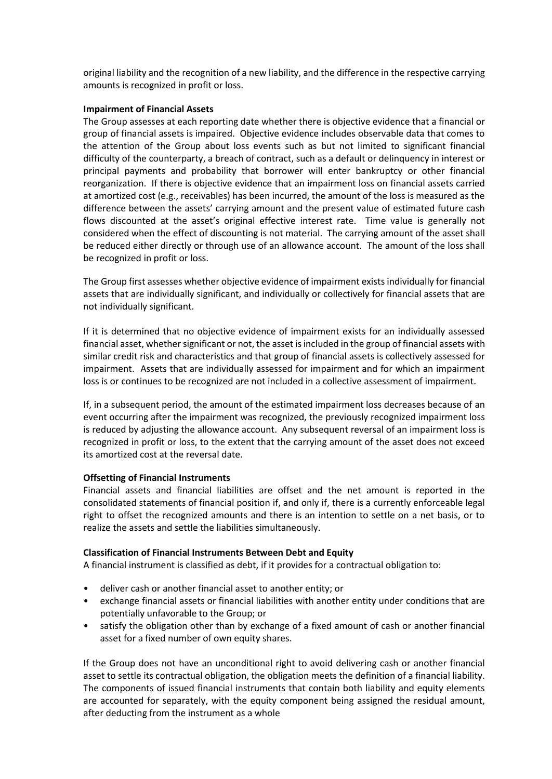original liability and the recognition of a new liability, and the difference in the respective carrying amounts is recognized in profit or loss.

#### **Impairment of Financial Assets**

The Group assesses at each reporting date whether there is objective evidence that a financial or group of financial assets is impaired. Objective evidence includes observable data that comes to the attention of the Group about loss events such as but not limited to significant financial difficulty of the counterparty, a breach of contract, such as a default or delinquency in interest or principal payments and probability that borrower will enter bankruptcy or other financial reorganization. If there is objective evidence that an impairment loss on financial assets carried at amortized cost (e.g., receivables) has been incurred, the amount of the loss is measured as the difference between the assets' carrying amount and the present value of estimated future cash flows discounted at the asset's original effective interest rate. Time value is generally not considered when the effect of discounting is not material. The carrying amount of the asset shall be reduced either directly or through use of an allowance account. The amount of the loss shall be recognized in profit or loss.

The Group first assesses whether objective evidence of impairment exists individually for financial assets that are individually significant, and individually or collectively for financial assets that are not individually significant.

If it is determined that no objective evidence of impairment exists for an individually assessed financial asset, whether significant or not, the asset is included in the group of financial assets with similar credit risk and characteristics and that group of financial assets is collectively assessed for impairment. Assets that are individually assessed for impairment and for which an impairment loss is or continues to be recognized are not included in a collective assessment of impairment.

If, in a subsequent period, the amount of the estimated impairment loss decreases because of an event occurring after the impairment was recognized, the previously recognized impairment loss is reduced by adjusting the allowance account. Any subsequent reversal of an impairment loss is recognized in profit or loss, to the extent that the carrying amount of the asset does not exceed its amortized cost at the reversal date.

## **Offsetting of Financial Instruments**

Financial assets and financial liabilities are offset and the net amount is reported in the consolidated statements of financial position if, and only if, there is a currently enforceable legal right to offset the recognized amounts and there is an intention to settle on a net basis, or to realize the assets and settle the liabilities simultaneously.

## **Classification of Financial Instruments Between Debt and Equity**

A financial instrument is classified as debt, if it provides for a contractual obligation to:

- deliver cash or another financial asset to another entity; or
- exchange financial assets or financial liabilities with another entity under conditions that are potentially unfavorable to the Group; or
- satisfy the obligation other than by exchange of a fixed amount of cash or another financial asset for a fixed number of own equity shares.

If the Group does not have an unconditional right to avoid delivering cash or another financial asset to settle its contractual obligation, the obligation meets the definition of a financial liability. The components of issued financial instruments that contain both liability and equity elements are accounted for separately, with the equity component being assigned the residual amount, after deducting from the instrument as a whole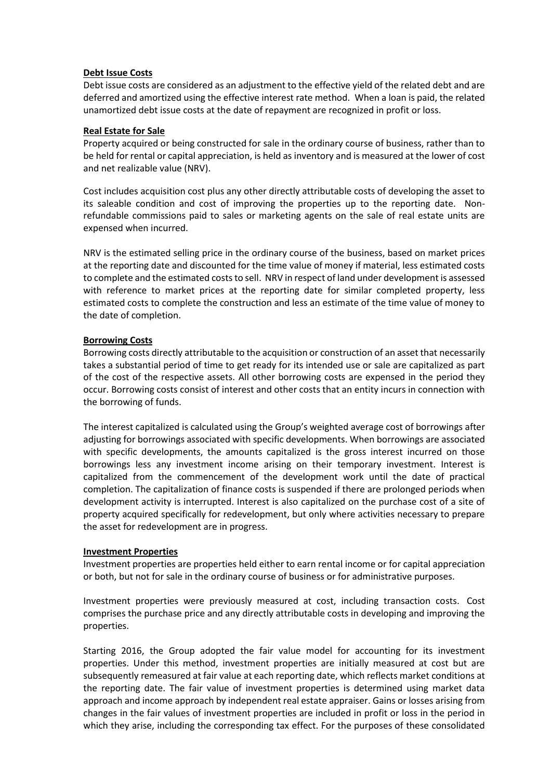#### **Debt Issue Costs**

Debt issue costs are considered as an adjustment to the effective yield of the related debt and are deferred and amortized using the effective interest rate method. When a loan is paid, the related unamortized debt issue costs at the date of repayment are recognized in profit or loss.

#### **Real Estate for Sale**

Property acquired or being constructed for sale in the ordinary course of business, rather than to be held for rental or capital appreciation, is held as inventory and is measured at the lower of cost and net realizable value (NRV).

Cost includes acquisition cost plus any other directly attributable costs of developing the asset to its saleable condition and cost of improving the properties up to the reporting date. Nonrefundable commissions paid to sales or marketing agents on the sale of real estate units are expensed when incurred.

NRV is the estimated selling price in the ordinary course of the business, based on market prices at the reporting date and discounted for the time value of money if material, less estimated costs to complete and the estimated costs to sell. NRV in respect of land under development is assessed with reference to market prices at the reporting date for similar completed property, less estimated costs to complete the construction and less an estimate of the time value of money to the date of completion.

## **Borrowing Costs**

Borrowing costs directly attributable to the acquisition or construction of an asset that necessarily takes a substantial period of time to get ready for its intended use or sale are capitalized as part of the cost of the respective assets. All other borrowing costs are expensed in the period they occur. Borrowing costs consist of interest and other costs that an entity incurs in connection with the borrowing of funds.

The interest capitalized is calculated using the Group's weighted average cost of borrowings after adjusting for borrowings associated with specific developments. When borrowings are associated with specific developments, the amounts capitalized is the gross interest incurred on those borrowings less any investment income arising on their temporary investment. Interest is capitalized from the commencement of the development work until the date of practical completion. The capitalization of finance costs is suspended if there are prolonged periods when development activity is interrupted. Interest is also capitalized on the purchase cost of a site of property acquired specifically for redevelopment, but only where activities necessary to prepare the asset for redevelopment are in progress.

#### **Investment Properties**

Investment properties are properties held either to earn rental income or for capital appreciation or both, but not for sale in the ordinary course of business or for administrative purposes.

Investment properties were previously measured at cost, including transaction costs. Cost comprises the purchase price and any directly attributable costs in developing and improving the properties.

Starting 2016, the Group adopted the fair value model for accounting for its investment properties. Under this method, investment properties are initially measured at cost but are subsequently remeasured at fair value at each reporting date, which reflects market conditions at the reporting date. The fair value of investment properties is determined using market data approach and income approach by independent real estate appraiser. Gains or losses arising from changes in the fair values of investment properties are included in profit or loss in the period in which they arise, including the corresponding tax effect. For the purposes of these consolidated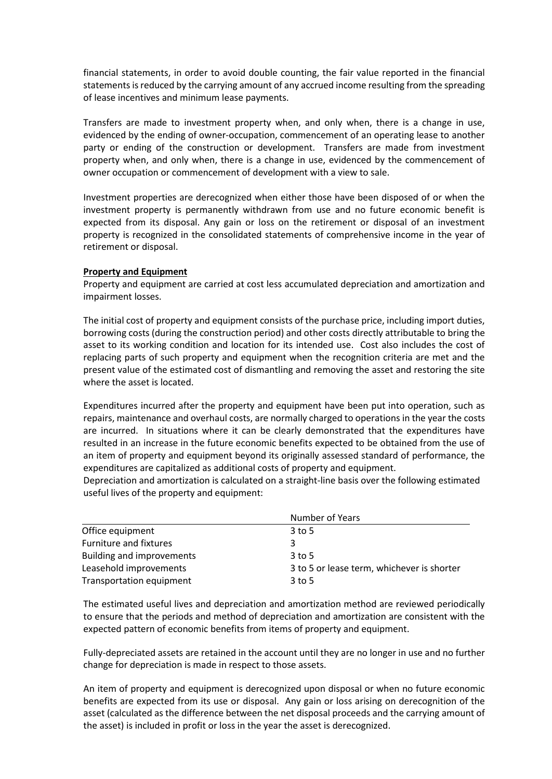financial statements, in order to avoid double counting, the fair value reported in the financial statements is reduced by the carrying amount of any accrued income resulting from the spreading of lease incentives and minimum lease payments.

Transfers are made to investment property when, and only when, there is a change in use, evidenced by the ending of owner-occupation, commencement of an operating lease to another party or ending of the construction or development. Transfers are made from investment property when, and only when, there is a change in use, evidenced by the commencement of owner occupation or commencement of development with a view to sale.

Investment properties are derecognized when either those have been disposed of or when the investment property is permanently withdrawn from use and no future economic benefit is expected from its disposal. Any gain or loss on the retirement or disposal of an investment property is recognized in the consolidated statements of comprehensive income in the year of retirement or disposal.

## **Property and Equipment**

Property and equipment are carried at cost less accumulated depreciation and amortization and impairment losses.

The initial cost of property and equipment consists of the purchase price, including import duties, borrowing costs (during the construction period) and other costs directly attributable to bring the asset to its working condition and location for its intended use. Cost also includes the cost of replacing parts of such property and equipment when the recognition criteria are met and the present value of the estimated cost of dismantling and removing the asset and restoring the site where the asset is located.

Expenditures incurred after the property and equipment have been put into operation, such as repairs, maintenance and overhaul costs, are normally charged to operations in the year the costs are incurred. In situations where it can be clearly demonstrated that the expenditures have resulted in an increase in the future economic benefits expected to be obtained from the use of an item of property and equipment beyond its originally assessed standard of performance, the expenditures are capitalized as additional costs of property and equipment.

Depreciation and amortization is calculated on a straight-line basis over the following estimated useful lives of the property and equipment:

|                                  | Number of Years                            |
|----------------------------------|--------------------------------------------|
| Office equipment                 | $3$ to 5                                   |
| <b>Furniture and fixtures</b>    | 3                                          |
| <b>Building and improvements</b> | $3$ to 5                                   |
| Leasehold improvements           | 3 to 5 or lease term, whichever is shorter |
| Transportation equipment         | $3$ to 5                                   |

The estimated useful lives and depreciation and amortization method are reviewed periodically to ensure that the periods and method of depreciation and amortization are consistent with the expected pattern of economic benefits from items of property and equipment.

Fully-depreciated assets are retained in the account until they are no longer in use and no further change for depreciation is made in respect to those assets.

An item of property and equipment is derecognized upon disposal or when no future economic benefits are expected from its use or disposal. Any gain or loss arising on derecognition of the asset (calculated as the difference between the net disposal proceeds and the carrying amount of the asset) is included in profit or loss in the year the asset is derecognized.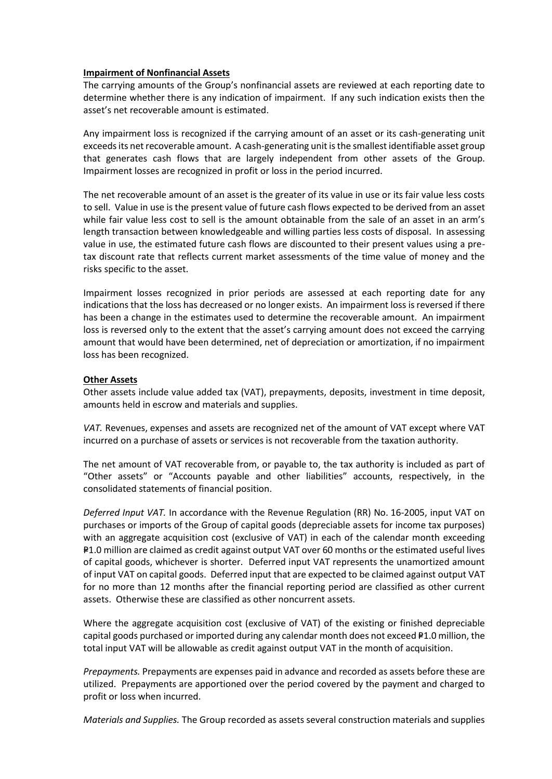#### **Impairment of Nonfinancial Assets**

The carrying amounts of the Group's nonfinancial assets are reviewed at each reporting date to determine whether there is any indication of impairment. If any such indication exists then the asset's net recoverable amount is estimated.

Any impairment loss is recognized if the carrying amount of an asset or its cash-generating unit exceeds its net recoverable amount. A cash-generating unit is the smallest identifiable asset group that generates cash flows that are largely independent from other assets of the Group. Impairment losses are recognized in profit or loss in the period incurred.

The net recoverable amount of an asset is the greater of its value in use or its fair value less costs to sell. Value in use is the present value of future cash flows expected to be derived from an asset while fair value less cost to sell is the amount obtainable from the sale of an asset in an arm's length transaction between knowledgeable and willing parties less costs of disposal. In assessing value in use, the estimated future cash flows are discounted to their present values using a pretax discount rate that reflects current market assessments of the time value of money and the risks specific to the asset.

Impairment losses recognized in prior periods are assessed at each reporting date for any indications that the loss has decreased or no longer exists. An impairment loss is reversed if there has been a change in the estimates used to determine the recoverable amount. An impairment loss is reversed only to the extent that the asset's carrying amount does not exceed the carrying amount that would have been determined, net of depreciation or amortization, if no impairment loss has been recognized.

## **Other Assets**

Other assets include value added tax (VAT), prepayments, deposits, investment in time deposit, amounts held in escrow and materials and supplies.

*VAT.* Revenues, expenses and assets are recognized net of the amount of VAT except where VAT incurred on a purchase of assets or services is not recoverable from the taxation authority.

The net amount of VAT recoverable from, or payable to, the tax authority is included as part of "Other assets" or "Accounts payable and other liabilities" accounts, respectively, in the consolidated statements of financial position.

*Deferred Input VAT.* In accordance with the Revenue Regulation (RR) No. 16-2005, input VAT on purchases or imports of the Group of capital goods (depreciable assets for income tax purposes) with an aggregate acquisition cost (exclusive of VAT) in each of the calendar month exceeding P1.0 million are claimed as credit against output VAT over 60 months or the estimated useful lives of capital goods, whichever is shorter. Deferred input VAT represents the unamortized amount of input VAT on capital goods. Deferred input that are expected to be claimed against output VAT for no more than 12 months after the financial reporting period are classified as other current assets. Otherwise these are classified as other noncurrent assets.

Where the aggregate acquisition cost (exclusive of VAT) of the existing or finished depreciable capital goods purchased or imported during any calendar month does not exceed  $P1.0$  million, the total input VAT will be allowable as credit against output VAT in the month of acquisition.

*Prepayments.* Prepayments are expenses paid in advance and recorded as assets before these are utilized. Prepayments are apportioned over the period covered by the payment and charged to profit or loss when incurred.

*Materials and Supplies.* The Group recorded as assets several construction materials and supplies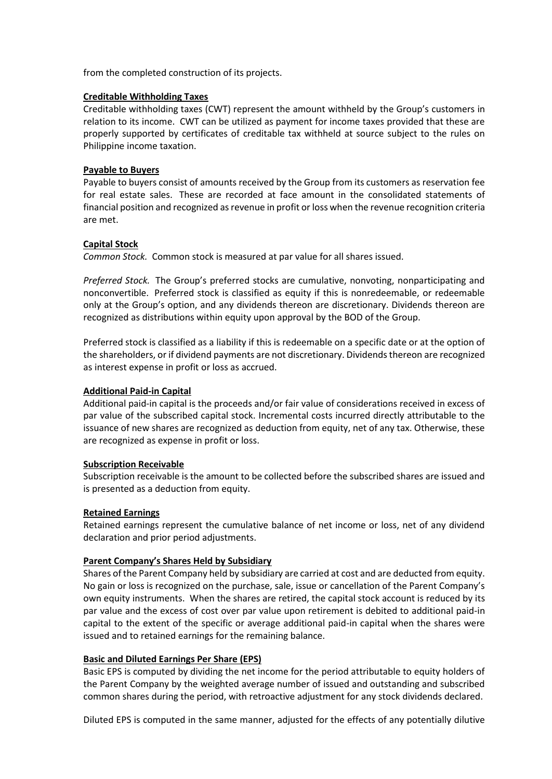from the completed construction of its projects.

#### **Creditable Withholding Taxes**

Creditable withholding taxes (CWT) represent the amount withheld by the Group's customers in relation to its income. CWT can be utilized as payment for income taxes provided that these are properly supported by certificates of creditable tax withheld at source subject to the rules on Philippine income taxation.

#### **Payable to Buyers**

Payable to buyers consist of amounts received by the Group from its customers as reservation fee for real estate sales. These are recorded at face amount in the consolidated statements of financial position and recognized as revenue in profit or loss when the revenue recognition criteria are met.

## **Capital Stock**

*Common Stock.* Common stock is measured at par value for all shares issued.

*Preferred Stock.* The Group's preferred stocks are cumulative, nonvoting, nonparticipating and nonconvertible. Preferred stock is classified as equity if this is nonredeemable, or redeemable only at the Group's option, and any dividends thereon are discretionary. Dividends thereon are recognized as distributions within equity upon approval by the BOD of the Group.

Preferred stock is classified as a liability if this is redeemable on a specific date or at the option of the shareholders, or if dividend payments are not discretionary. Dividends thereon are recognized as interest expense in profit or loss as accrued.

## **Additional Paid-in Capital**

Additional paid-in capital is the proceeds and/or fair value of considerations received in excess of par value of the subscribed capital stock. Incremental costs incurred directly attributable to the issuance of new shares are recognized as deduction from equity, net of any tax. Otherwise, these are recognized as expense in profit or loss.

## **Subscription Receivable**

Subscription receivable is the amount to be collected before the subscribed shares are issued and is presented as a deduction from equity.

## **Retained Earnings**

Retained earnings represent the cumulative balance of net income or loss, net of any dividend declaration and prior period adjustments.

## **Parent Company's Shares Held by Subsidiary**

Shares of the Parent Company held by subsidiary are carried at cost and are deducted from equity. No gain or loss is recognized on the purchase, sale, issue or cancellation of the Parent Company's own equity instruments. When the shares are retired, the capital stock account is reduced by its par value and the excess of cost over par value upon retirement is debited to additional paid-in capital to the extent of the specific or average additional paid-in capital when the shares were issued and to retained earnings for the remaining balance.

#### **Basic and Diluted Earnings Per Share (EPS)**

Basic EPS is computed by dividing the net income for the period attributable to equity holders of the Parent Company by the weighted average number of issued and outstanding and subscribed common shares during the period, with retroactive adjustment for any stock dividends declared.

Diluted EPS is computed in the same manner, adjusted for the effects of any potentially dilutive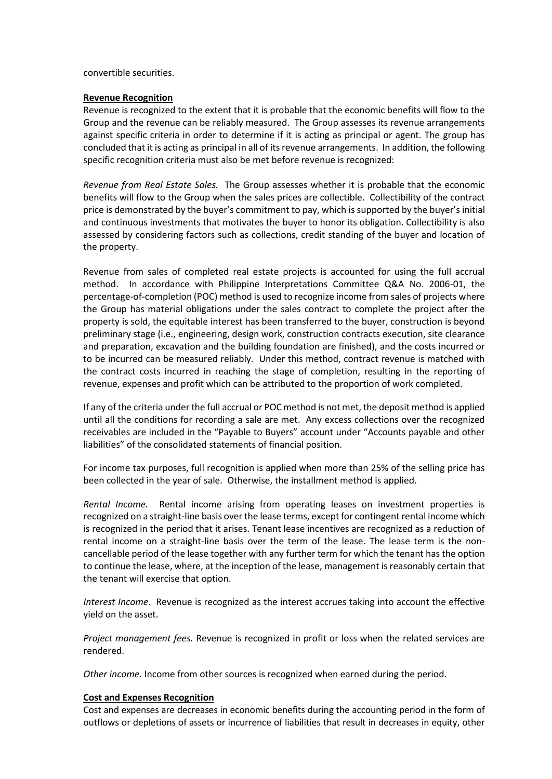convertible securities.

#### **Revenue Recognition**

Revenue is recognized to the extent that it is probable that the economic benefits will flow to the Group and the revenue can be reliably measured. The Group assesses its revenue arrangements against specific criteria in order to determine if it is acting as principal or agent. The group has concluded that it is acting as principal in all of its revenue arrangements. In addition, the following specific recognition criteria must also be met before revenue is recognized:

*Revenue from Real Estate Sales.* The Group assesses whether it is probable that the economic benefits will flow to the Group when the sales prices are collectible. Collectibility of the contract price is demonstrated by the buyer's commitment to pay, which is supported by the buyer's initial and continuous investments that motivates the buyer to honor its obligation. Collectibility is also assessed by considering factors such as collections, credit standing of the buyer and location of the property.

Revenue from sales of completed real estate projects is accounted for using the full accrual method. In accordance with Philippine Interpretations Committee Q&A No. 2006-01, the percentage-of-completion (POC) method is used to recognize income from sales of projects where the Group has material obligations under the sales contract to complete the project after the property is sold, the equitable interest has been transferred to the buyer, construction is beyond preliminary stage (i.e., engineering, design work, construction contracts execution, site clearance and preparation, excavation and the building foundation are finished), and the costs incurred or to be incurred can be measured reliably. Under this method, contract revenue is matched with the contract costs incurred in reaching the stage of completion, resulting in the reporting of revenue, expenses and profit which can be attributed to the proportion of work completed.

If any of the criteria under the full accrual or POC method is not met, the deposit method is applied until all the conditions for recording a sale are met. Any excess collections over the recognized receivables are included in the "Payable to Buyers" account under "Accounts payable and other liabilities" of the consolidated statements of financial position.

For income tax purposes, full recognition is applied when more than 25% of the selling price has been collected in the year of sale. Otherwise, the installment method is applied.

*Rental Income.* Rental income arising from operating leases on investment properties is recognized on a straight-line basis over the lease terms, except for contingent rental income which is recognized in the period that it arises. Tenant lease incentives are recognized as a reduction of rental income on a straight-line basis over the term of the lease. The lease term is the noncancellable period of the lease together with any further term for which the tenant has the option to continue the lease, where, at the inception of the lease, management is reasonably certain that the tenant will exercise that option.

*Interest Income*. Revenue is recognized as the interest accrues taking into account the effective yield on the asset.

*Project management fees.* Revenue is recognized in profit or loss when the related services are rendered.

*Other income.* Income from other sources is recognized when earned during the period.

#### **Cost and Expenses Recognition**

Cost and expenses are decreases in economic benefits during the accounting period in the form of outflows or depletions of assets or incurrence of liabilities that result in decreases in equity, other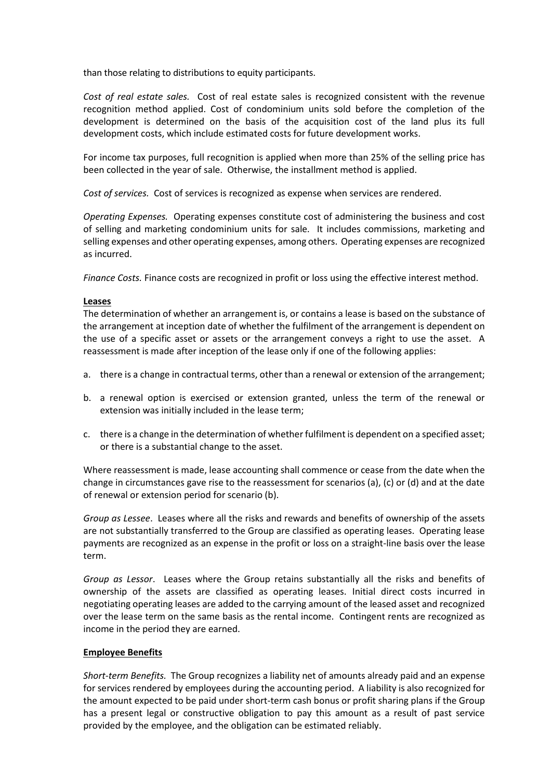than those relating to distributions to equity participants.

*Cost of real estate sales.* Cost of real estate sales is recognized consistent with the revenue recognition method applied. Cost of condominium units sold before the completion of the development is determined on the basis of the acquisition cost of the land plus its full development costs, which include estimated costs for future development works.

For income tax purposes, full recognition is applied when more than 25% of the selling price has been collected in the year of sale. Otherwise, the installment method is applied.

*Cost of services.* Cost of services is recognized as expense when services are rendered.

*Operating Expenses.* Operating expenses constitute cost of administering the business and cost of selling and marketing condominium units for sale. It includes commissions, marketing and selling expenses and other operating expenses, among others. Operating expenses are recognized as incurred.

*Finance Costs.* Finance costs are recognized in profit or loss using the effective interest method.

#### **Leases**

The determination of whether an arrangement is, or contains a lease is based on the substance of the arrangement at inception date of whether the fulfilment of the arrangement is dependent on the use of a specific asset or assets or the arrangement conveys a right to use the asset. A reassessment is made after inception of the lease only if one of the following applies:

- a. there is a change in contractual terms, other than a renewal or extension of the arrangement;
- b. a renewal option is exercised or extension granted, unless the term of the renewal or extension was initially included in the lease term;
- c. there is a change in the determination of whether fulfilment is dependent on a specified asset; or there is a substantial change to the asset.

Where reassessment is made, lease accounting shall commence or cease from the date when the change in circumstances gave rise to the reassessment for scenarios (a), (c) or (d) and at the date of renewal or extension period for scenario (b).

*Group as Lessee*. Leases where all the risks and rewards and benefits of ownership of the assets are not substantially transferred to the Group are classified as operating leases. Operating lease payments are recognized as an expense in the profit or loss on a straight-line basis over the lease term.

*Group as Lessor*. Leases where the Group retains substantially all the risks and benefits of ownership of the assets are classified as operating leases. Initial direct costs incurred in negotiating operating leases are added to the carrying amount of the leased asset and recognized over the lease term on the same basis as the rental income. Contingent rents are recognized as income in the period they are earned.

## **Employee Benefits**

*Short-term Benefits.* The Group recognizes a liability net of amounts already paid and an expense for services rendered by employees during the accounting period. A liability is also recognized for the amount expected to be paid under short-term cash bonus or profit sharing plans if the Group has a present legal or constructive obligation to pay this amount as a result of past service provided by the employee, and the obligation can be estimated reliably.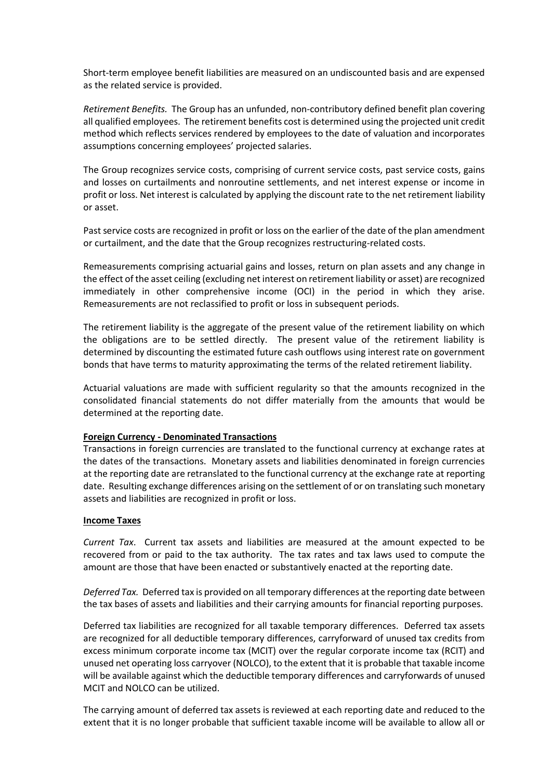Short-term employee benefit liabilities are measured on an undiscounted basis and are expensed as the related service is provided.

*Retirement Benefits.* The Group has an unfunded, non-contributory defined benefit plan covering all qualified employees. The retirement benefits cost is determined using the projected unit credit method which reflects services rendered by employees to the date of valuation and incorporates assumptions concerning employees' projected salaries.

The Group recognizes service costs, comprising of current service costs, past service costs, gains and losses on curtailments and nonroutine settlements, and net interest expense or income in profit or loss. Net interest is calculated by applying the discount rate to the net retirement liability or asset.

Past service costs are recognized in profit or loss on the earlier of the date of the plan amendment or curtailment, and the date that the Group recognizes restructuring-related costs.

Remeasurements comprising actuarial gains and losses, return on plan assets and any change in the effect of the asset ceiling (excluding net interest on retirement liability or asset) are recognized immediately in other comprehensive income (OCI) in the period in which they arise. Remeasurements are not reclassified to profit or loss in subsequent periods.

The retirement liability is the aggregate of the present value of the retirement liability on which the obligations are to be settled directly. The present value of the retirement liability is determined by discounting the estimated future cash outflows using interest rate on government bonds that have terms to maturity approximating the terms of the related retirement liability.

Actuarial valuations are made with sufficient regularity so that the amounts recognized in the consolidated financial statements do not differ materially from the amounts that would be determined at the reporting date.

## **Foreign Currency - Denominated Transactions**

Transactions in foreign currencies are translated to the functional currency at exchange rates at the dates of the transactions. Monetary assets and liabilities denominated in foreign currencies at the reporting date are retranslated to the functional currency at the exchange rate at reporting date. Resulting exchange differences arising on the settlement of or on translating such monetary assets and liabilities are recognized in profit or loss.

#### **Income Taxes**

*Current Tax*. Current tax assets and liabilities are measured at the amount expected to be recovered from or paid to the tax authority. The tax rates and tax laws used to compute the amount are those that have been enacted or substantively enacted at the reporting date.

*Deferred Tax.* Deferred tax is provided on all temporary differences at the reporting date between the tax bases of assets and liabilities and their carrying amounts for financial reporting purposes.

Deferred tax liabilities are recognized for all taxable temporary differences. Deferred tax assets are recognized for all deductible temporary differences, carryforward of unused tax credits from excess minimum corporate income tax (MCIT) over the regular corporate income tax (RCIT) and unused net operating loss carryover (NOLCO), to the extent that it is probable that taxable income will be available against which the deductible temporary differences and carryforwards of unused MCIT and NOLCO can be utilized.

The carrying amount of deferred tax assets is reviewed at each reporting date and reduced to the extent that it is no longer probable that sufficient taxable income will be available to allow all or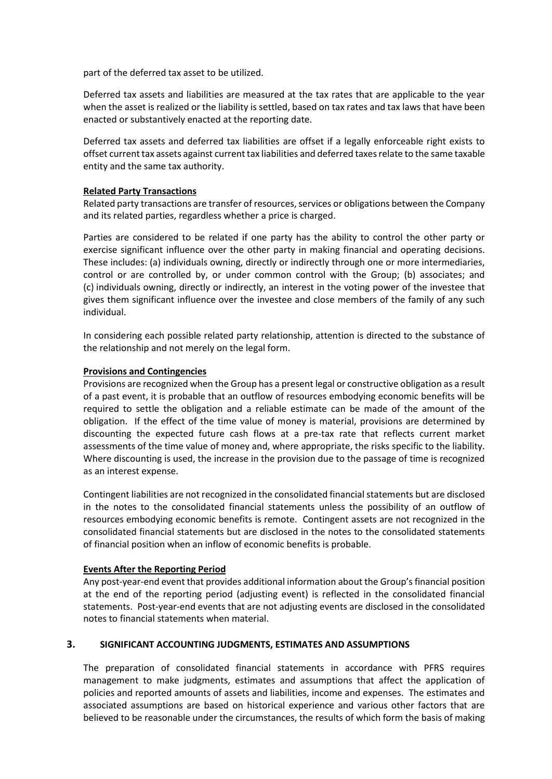part of the deferred tax asset to be utilized.

Deferred tax assets and liabilities are measured at the tax rates that are applicable to the year when the asset is realized or the liability is settled, based on tax rates and tax laws that have been enacted or substantively enacted at the reporting date.

Deferred tax assets and deferred tax liabilities are offset if a legally enforceable right exists to offset current tax assets against current tax liabilities and deferred taxes relate to the same taxable entity and the same tax authority.

## **Related Party Transactions**

Related party transactions are transfer of resources, services or obligations between the Company and its related parties, regardless whether a price is charged.

Parties are considered to be related if one party has the ability to control the other party or exercise significant influence over the other party in making financial and operating decisions. These includes: (a) individuals owning, directly or indirectly through one or more intermediaries, control or are controlled by, or under common control with the Group; (b) associates; and (c) individuals owning, directly or indirectly, an interest in the voting power of the investee that gives them significant influence over the investee and close members of the family of any such individual.

In considering each possible related party relationship, attention is directed to the substance of the relationship and not merely on the legal form.

## **Provisions and Contingencies**

Provisions are recognized when the Group has a present legal or constructive obligation as a result of a past event, it is probable that an outflow of resources embodying economic benefits will be required to settle the obligation and a reliable estimate can be made of the amount of the obligation. If the effect of the time value of money is material, provisions are determined by discounting the expected future cash flows at a pre-tax rate that reflects current market assessments of the time value of money and, where appropriate, the risks specific to the liability. Where discounting is used, the increase in the provision due to the passage of time is recognized as an interest expense.

Contingent liabilities are not recognized in the consolidated financial statements but are disclosed in the notes to the consolidated financial statements unless the possibility of an outflow of resources embodying economic benefits is remote. Contingent assets are not recognized in the consolidated financial statements but are disclosed in the notes to the consolidated statements of financial position when an inflow of economic benefits is probable.

## **Events After the Reporting Period**

Any post-year-end event that provides additional information about the Group's financial position at the end of the reporting period (adjusting event) is reflected in the consolidated financial statements. Post-year-end events that are not adjusting events are disclosed in the consolidated notes to financial statements when material.

## **3. SIGNIFICANT ACCOUNTING JUDGMENTS, ESTIMATES AND ASSUMPTIONS**

The preparation of consolidated financial statements in accordance with PFRS requires management to make judgments, estimates and assumptions that affect the application of policies and reported amounts of assets and liabilities, income and expenses. The estimates and associated assumptions are based on historical experience and various other factors that are believed to be reasonable under the circumstances, the results of which form the basis of making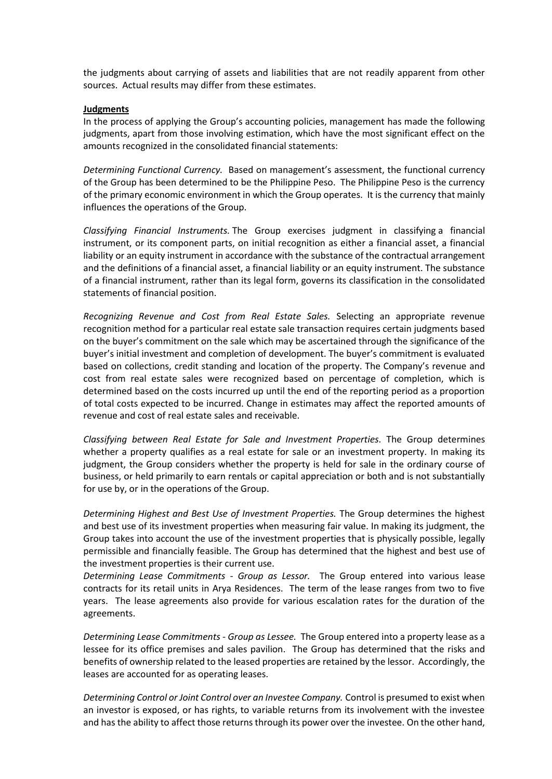the judgments about carrying of assets and liabilities that are not readily apparent from other sources. Actual results may differ from these estimates.

#### **Judgments**

In the process of applying the Group's accounting policies, management has made the following judgments, apart from those involving estimation, which have the most significant effect on the amounts recognized in the consolidated financial statements:

*Determining Functional Currency.* Based on management's assessment, the functional currency of the Group has been determined to be the Philippine Peso. The Philippine Peso is the currency of the primary economic environment in which the Group operates. It is the currency that mainly influences the operations of the Group.

*Classifying Financial Instruments.* The Group exercises judgment in classifying a financial instrument, or its component parts, on initial recognition as either a financial asset, a financial liability or an equity instrument in accordance with the substance of the contractual arrangement and the definitions of a financial asset, a financial liability or an equity instrument. The substance of a financial instrument, rather than its legal form, governs its classification in the consolidated statements of financial position.

*Recognizing Revenue and Cost from Real Estate Sales.* Selecting an appropriate revenue recognition method for a particular real estate sale transaction requires certain judgments based on the buyer's commitment on the sale which may be ascertained through the significance of the buyer's initial investment and completion of development. The buyer's commitment is evaluated based on collections, credit standing and location of the property. The Company's revenue and cost from real estate sales were recognized based on percentage of completion, which is determined based on the costs incurred up until the end of the reporting period as a proportion of total costs expected to be incurred. Change in estimates may affect the reported amounts of revenue and cost of real estate sales and receivable.

*Classifying between Real Estate for Sale and Investment Properties.* The Group determines whether a property qualifies as a real estate for sale or an investment property. In making its judgment, the Group considers whether the property is held for sale in the ordinary course of business, or held primarily to earn rentals or capital appreciation or both and is not substantially for use by, or in the operations of the Group.

*Determining Highest and Best Use of Investment Properties.* The Group determines the highest and best use of its investment properties when measuring fair value. In making its judgment, the Group takes into account the use of the investment properties that is physically possible, legally permissible and financially feasible. The Group has determined that the highest and best use of the investment properties is their current use.

*Determining Lease Commitments - Group as Lessor.* The Group entered into various lease contracts for its retail units in Arya Residences. The term of the lease ranges from two to five years. The lease agreements also provide for various escalation rates for the duration of the agreements.

*Determining Lease Commitments - Group as Lessee.* The Group entered into a property lease as a lessee for its office premises and sales pavilion. The Group has determined that the risks and benefits of ownership related to the leased properties are retained by the lessor. Accordingly, the leases are accounted for as operating leases.

*Determining Control or Joint Control over an Investee Company.* Control is presumed to exist when an investor is exposed, or has rights, to variable returns from its involvement with the investee and has the ability to affect those returns through its power over the investee. On the other hand,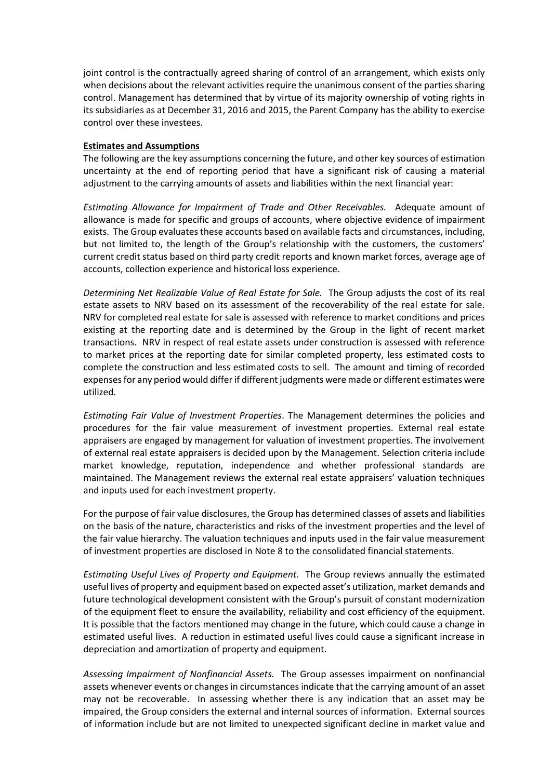joint control is the contractually agreed sharing of control of an arrangement, which exists only when decisions about the relevant activities require the unanimous consent of the parties sharing control. Management has determined that by virtue of its majority ownership of voting rights in its subsidiaries as at December 31, 2016 and 2015, the Parent Company has the ability to exercise control over these investees.

#### **Estimates and Assumptions**

The following are the key assumptions concerning the future, and other key sources of estimation uncertainty at the end of reporting period that have a significant risk of causing a material adjustment to the carrying amounts of assets and liabilities within the next financial year:

*Estimating Allowance for Impairment of Trade and Other Receivables.* Adequate amount of allowance is made for specific and groups of accounts, where objective evidence of impairment exists. The Group evaluates these accounts based on available facts and circumstances, including, but not limited to, the length of the Group's relationship with the customers, the customers' current credit status based on third party credit reports and known market forces, average age of accounts, collection experience and historical loss experience.

*Determining Net Realizable Value of Real Estate for Sale.* The Group adjusts the cost of its real estate assets to NRV based on its assessment of the recoverability of the real estate for sale. NRV for completed real estate for sale is assessed with reference to market conditions and prices existing at the reporting date and is determined by the Group in the light of recent market transactions. NRV in respect of real estate assets under construction is assessed with reference to market prices at the reporting date for similar completed property, less estimated costs to complete the construction and less estimated costs to sell. The amount and timing of recorded expenses for any period would differ if different judgments were made or different estimates were utilized.

*Estimating Fair Value of Investment Properties*. The Management determines the policies and procedures for the fair value measurement of investment properties. External real estate appraisers are engaged by management for valuation of investment properties. The involvement of external real estate appraisers is decided upon by the Management. Selection criteria include market knowledge, reputation, independence and whether professional standards are maintained. The Management reviews the external real estate appraisers' valuation techniques and inputs used for each investment property.

For the purpose of fair value disclosures, the Group has determined classes of assets and liabilities on the basis of the nature, characteristics and risks of the investment properties and the level of the fair value hierarchy. The valuation techniques and inputs used in the fair value measurement of investment properties are disclosed in Note 8 to the consolidated financial statements.

*Estimating Useful Lives of Property and Equipment.* The Group reviews annually the estimated useful lives of property and equipment based on expected asset's utilization, market demands and future technological development consistent with the Group's pursuit of constant modernization of the equipment fleet to ensure the availability, reliability and cost efficiency of the equipment. It is possible that the factors mentioned may change in the future, which could cause a change in estimated useful lives. A reduction in estimated useful lives could cause a significant increase in depreciation and amortization of property and equipment.

*Assessing Impairment of Nonfinancial Assets.* The Group assesses impairment on nonfinancial assets whenever events or changes in circumstances indicate that the carrying amount of an asset may not be recoverable. In assessing whether there is any indication that an asset may be impaired, the Group considers the external and internal sources of information. External sources of information include but are not limited to unexpected significant decline in market value and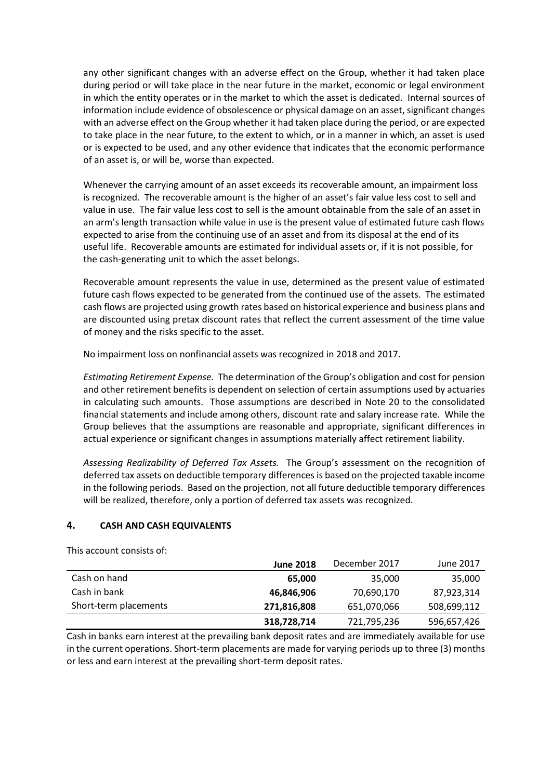any other significant changes with an adverse effect on the Group, whether it had taken place during period or will take place in the near future in the market, economic or legal environment in which the entity operates or in the market to which the asset is dedicated. Internal sources of information include evidence of obsolescence or physical damage on an asset, significant changes with an adverse effect on the Group whether it had taken place during the period, or are expected to take place in the near future, to the extent to which, or in a manner in which, an asset is used or is expected to be used, and any other evidence that indicates that the economic performance of an asset is, or will be, worse than expected.

Whenever the carrying amount of an asset exceeds its recoverable amount, an impairment loss is recognized. The recoverable amount is the higher of an asset's fair value less cost to sell and value in use. The fair value less cost to sell is the amount obtainable from the sale of an asset in an arm's length transaction while value in use is the present value of estimated future cash flows expected to arise from the continuing use of an asset and from its disposal at the end of its useful life. Recoverable amounts are estimated for individual assets or, if it is not possible, for the cash-generating unit to which the asset belongs.

Recoverable amount represents the value in use, determined as the present value of estimated future cash flows expected to be generated from the continued use of the assets. The estimated cash flows are projected using growth rates based on historical experience and business plans and are discounted using pretax discount rates that reflect the current assessment of the time value of money and the risks specific to the asset.

No impairment loss on nonfinancial assets was recognized in 2018 and 2017.

*Estimating Retirement Expense.* The determination of the Group's obligation and cost for pension and other retirement benefits is dependent on selection of certain assumptions used by actuaries in calculating such amounts. Those assumptions are described in Note 20 to the consolidated financial statements and include among others, discount rate and salary increase rate. While the Group believes that the assumptions are reasonable and appropriate, significant differences in actual experience or significant changes in assumptions materially affect retirement liability.

*Assessing Realizability of Deferred Tax Assets.* The Group's assessment on the recognition of deferred tax assets on deductible temporary differences is based on the projected taxable income in the following periods. Based on the projection, not all future deductible temporary differences will be realized, therefore, only a portion of deferred tax assets was recognized.

## **4. CASH AND CASH EQUIVALENTS**

This account consists of:

|                       | <b>June 2018</b> | December 2017 | June 2017   |
|-----------------------|------------------|---------------|-------------|
| Cash on hand          | 65,000           | 35,000        | 35,000      |
| Cash in bank          | 46,846,906       | 70,690,170    | 87,923,314  |
| Short-term placements | 271,816,808      | 651,070,066   | 508,699,112 |
|                       | 318,728,714      | 721,795,236   | 596,657,426 |

Cash in banks earn interest at the prevailing bank deposit rates and are immediately available for use in the current operations. Short-term placements are made for varying periods up to three (3) months or less and earn interest at the prevailing short-term deposit rates.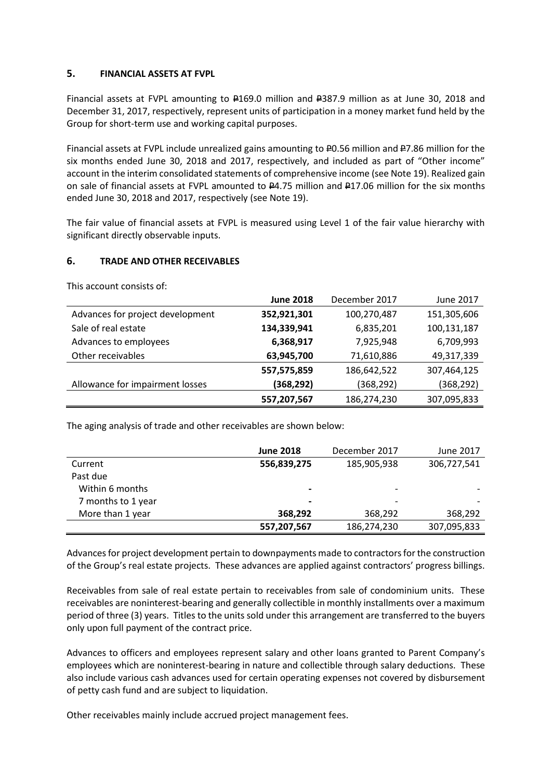## **5. FINANCIAL ASSETS AT FVPL**

Financial assets at FVPL amounting to  $\text{\#169.0}$  million and  $\text{\#387.9}$  million as at June 30, 2018 and December 31, 2017, respectively, represent units of participation in a money market fund held by the Group for short-term use and working capital purposes.

Financial assets at FVPL include unrealized gains amounting to  $40.56$  million and  $47.86$  million for the six months ended June 30, 2018 and 2017, respectively, and included as part of "Other income" account in the interim consolidated statements of comprehensive income (see Note 19). Realized gain on sale of financial assets at FVPL amounted to  $P4.75$  million and  $P17.06$  million for the six months ended June 30, 2018 and 2017, respectively (see Note 19).

The fair value of financial assets at FVPL is measured using Level 1 of the fair value hierarchy with significant directly observable inputs.

## **6. TRADE AND OTHER RECEIVABLES**

|                                  | <b>June 2018</b> | December 2017 | June 2017   |
|----------------------------------|------------------|---------------|-------------|
| Advances for project development | 352,921,301      | 100,270,487   | 151,305,606 |
| Sale of real estate              | 134,339,941      | 6,835,201     | 100,131,187 |
| Advances to employees            | 6,368,917        | 7,925,948     | 6,709,993   |
| Other receivables                | 63,945,700       | 71,610,886    | 49,317,339  |
|                                  | 557,575,859      | 186,642,522   | 307,464,125 |
| Allowance for impairment losses  | (368, 292)       | (368, 292)    | (368, 292)  |
|                                  | 557,207,567      | 186,274,230   | 307,095,833 |

This account consists of:

The aging analysis of trade and other receivables are shown below:

|                    | <b>June 2018</b> | December 2017            | June 2017   |
|--------------------|------------------|--------------------------|-------------|
| Current            | 556,839,275      | 185,905,938              | 306,727,541 |
| Past due           |                  |                          |             |
| Within 6 months    | $\qquad \qquad$  | $\overline{\phantom{0}}$ |             |
| 7 months to 1 year | $\blacksquare$   |                          |             |
| More than 1 year   | 368,292          | 368,292                  | 368,292     |
|                    | 557,207,567      | 186,274,230              | 307,095,833 |

Advances for project development pertain to downpayments made to contractors for the construction of the Group's real estate projects. These advances are applied against contractors' progress billings.

Receivables from sale of real estate pertain to receivables from sale of condominium units. These receivables are noninterest-bearing and generally collectible in monthly installments over a maximum period of three (3) years. Titles to the units sold under this arrangement are transferred to the buyers only upon full payment of the contract price.

Advances to officers and employees represent salary and other loans granted to Parent Company's employees which are noninterest-bearing in nature and collectible through salary deductions. These also include various cash advances used for certain operating expenses not covered by disbursement of petty cash fund and are subject to liquidation.

Other receivables mainly include accrued project management fees.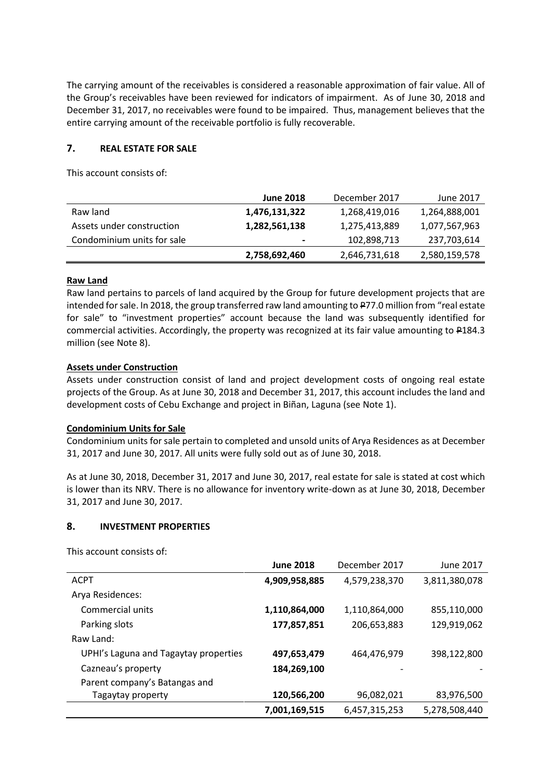The carrying amount of the receivables is considered a reasonable approximation of fair value. All of the Group's receivables have been reviewed for indicators of impairment. As of June 30, 2018 and December 31, 2017, no receivables were found to be impaired. Thus, management believes that the entire carrying amount of the receivable portfolio is fully recoverable.

## **7. REAL ESTATE FOR SALE**

This account consists of:

|                            | <b>June 2018</b> | December 2017 | June 2017     |
|----------------------------|------------------|---------------|---------------|
| Raw land                   | 1,476,131,322    | 1,268,419,016 | 1,264,888,001 |
| Assets under construction  | 1,282,561,138    | 1,275,413,889 | 1,077,567,963 |
| Condominium units for sale | $\blacksquare$   | 102,898,713   | 237,703,614   |
|                            | 2,758,692,460    | 2,646,731,618 | 2,580,159,578 |

## **Raw Land**

Raw land pertains to parcels of land acquired by the Group for future development projects that are intended for sale. In 2018, the group transferred raw land amounting to P77.0 million from "real estate for sale" to "investment properties" account because the land was subsequently identified for commercial activities. Accordingly, the property was recognized at its fair value amounting to P184.3 million (see Note 8).

## **Assets under Construction**

Assets under construction consist of land and project development costs of ongoing real estate projects of the Group. As at June 30, 2018 and December 31, 2017, this account includes the land and development costs of Cebu Exchange and project in Biñan, Laguna (see Note 1).

## **Condominium Units for Sale**

Condominium units for sale pertain to completed and unsold units of Arya Residences as at December 31, 2017 and June 30, 2017. All units were fully sold out as of June 30, 2018.

As at June 30, 2018, December 31, 2017 and June 30, 2017, real estate for sale is stated at cost which is lower than its NRV. There is no allowance for inventory write-down as at June 30, 2018, December 31, 2017 and June 30, 2017.

## **8. INVESTMENT PROPERTIES**

This account consists of:

|                                       | <b>June 2018</b> | December 2017 | June 2017     |
|---------------------------------------|------------------|---------------|---------------|
| <b>ACPT</b>                           | 4,909,958,885    | 4,579,238,370 | 3,811,380,078 |
| Arya Residences:                      |                  |               |               |
| Commercial units                      | 1,110,864,000    | 1,110,864,000 | 855,110,000   |
| Parking slots                         | 177,857,851      | 206,653,883   | 129,919,062   |
| Raw Land:                             |                  |               |               |
| UPHI's Laguna and Tagaytay properties | 497,653,479      | 464,476,979   | 398,122,800   |
| Cazneau's property                    | 184,269,100      |               |               |
| Parent company's Batangas and         |                  |               |               |
| Tagaytay property                     | 120,566,200      | 96,082,021    | 83,976,500    |
|                                       | 7,001,169,515    | 6,457,315,253 | 5,278,508,440 |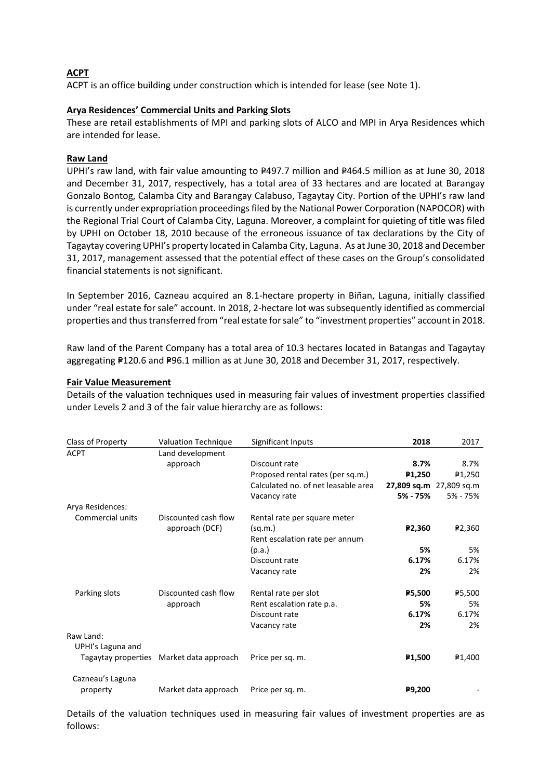## **ACPT**

ACPT is an office building under construction which is intended for lease (see Note 1).

#### **Arya Residences' Commercial Units and Parking Slots**

These are retail establishments of MPI and parking slots of ALCO and MPI in Arya Residences which are intended for lease.

#### **Raw Land**

UPHI's raw land, with fair value amounting to P497.7 million and P464.5 million as at June 30, 2018 and December 31, 2017, respectively, has a total area of 33 hectares and are located at Barangay Gonzalo Bontog, Calamba City and Barangay Calabuso, Tagaytay City. Portion of the UPHI's raw land is currently under expropriation proceedings filed by the National Power Corporation (NAPOCOR) with the Regional Trial Court of Calamba City, Laguna. Moreover, a complaint for quieting of title was filed by UPHI on October 18, 2010 because of the erroneous issuance of tax declarations by the City of Tagaytay covering UPHI's property located in Calamba City, Laguna. As at June 30, 2018 and December 31, 2017, management assessed that the potential effect of these cases on the Group's consolidated financial statements is not significant.

In September 2016, Cazneau acquired an 8.1-hectare property in Biñan, Laguna, initially classified under "real estate for sale" account. In 2018, 2-hectare lot was subsequently identified as commercial properties and thus transferred from "real estate for sale" to "investment properties" account in 2018.

Raw land of the Parent Company has a total area of 10.3 hectares located in Batangas and Tagaytay aggregating P120.6 and P96.1 million as at June 30, 2018 and December 31, 2017, respectively.

#### **Fair Value Measurement**

Details of the valuation techniques used in measuring fair values of investment properties classified under Levels 2 and 3 of the fair value hierarchy are as follows:

| Class of Property   | <b>Valuation Technique</b> | Significant Inputs                  | 2018                | 2017                    |
|---------------------|----------------------------|-------------------------------------|---------------------|-------------------------|
| <b>ACPT</b>         | Land development           |                                     |                     |                         |
|                     | approach                   | Discount rate                       | 8.7%                | 8.7%                    |
|                     |                            | Proposed rental rates (per sq.m.)   | P <sub>1</sub> ,250 | ₽1,250                  |
|                     |                            | Calculated no. of net leasable area |                     | 27,809 sq.m 27,809 sq.m |
|                     |                            | Vacancy rate                        | 5% - 75%            | 5% - 75%                |
| Arya Residences:    |                            |                                     |                     |                         |
| Commercial units    | Discounted cash flow       | Rental rate per square meter        |                     |                         |
|                     | approach (DCF)             | (sq.m.)                             | P <sub>2</sub> ,360 | ₽2,360                  |
|                     |                            | Rent escalation rate per annum      |                     |                         |
|                     |                            | (p.a.)                              | 5%                  | 5%                      |
|                     |                            | Discount rate                       | 6.17%               | 6.17%                   |
|                     |                            | Vacancy rate                        | 2%                  | 2%                      |
| Parking slots       | Discounted cash flow       | Rental rate per slot                | P5,500              | ₽5,500                  |
|                     | approach                   | Rent escalation rate p.a.           | 5%                  | 5%                      |
|                     |                            | Discount rate                       | 6.17%               | 6.17%                   |
|                     |                            | Vacancy rate                        | 2%                  | 2%                      |
| Raw Land:           |                            |                                     |                     |                         |
| UPHI's Laguna and   |                            |                                     |                     |                         |
| Tagaytay properties | Market data approach       | Price per sq. m.                    | P <sub>1,500</sub>  | ₽1,400                  |
| Cazneau's Laguna    |                            |                                     |                     |                         |
| property            | Market data approach       | Price per sq. m.                    | P9,200              |                         |

Details of the valuation techniques used in measuring fair values of investment properties are as follows: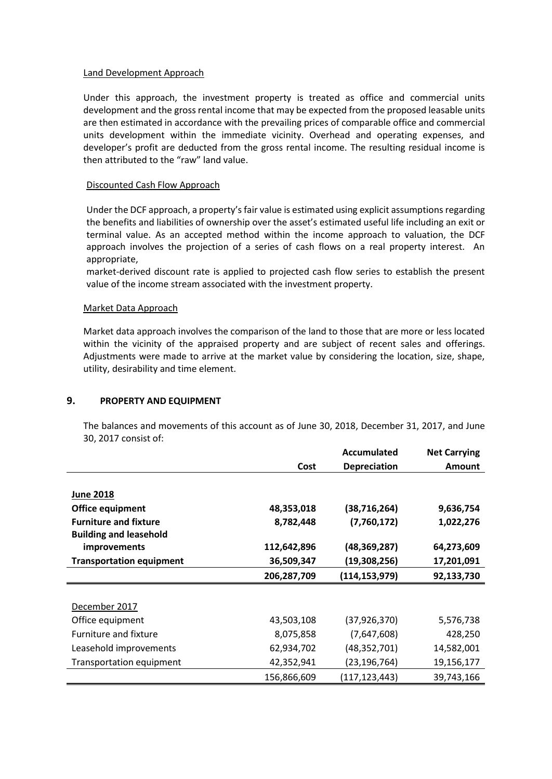#### Land Development Approach

Under this approach, the investment property is treated as office and commercial units development and the gross rental income that may be expected from the proposed leasable units are then estimated in accordance with the prevailing prices of comparable office and commercial units development within the immediate vicinity. Overhead and operating expenses, and developer's profit are deducted from the gross rental income. The resulting residual income is then attributed to the "raw" land value.

## Discounted Cash Flow Approach

Under the DCF approach, a property's fair value is estimated using explicit assumptions regarding the benefits and liabilities of ownership over the asset's estimated useful life including an exit or terminal value. As an accepted method within the income approach to valuation, the DCF approach involves the projection of a series of cash flows on a real property interest. An appropriate,

market-derived discount rate is applied to projected cash flow series to establish the present value of the income stream associated with the investment property.

#### Market Data Approach

Market data approach involves the comparison of the land to those that are more or less located within the vicinity of the appraised property and are subject of recent sales and offerings. Adjustments were made to arrive at the market value by considering the location, size, shape, utility, desirability and time element.

## **9. PROPERTY AND EQUIPMENT**

The balances and movements of this account as of June 30, 2018, December 31, 2017, and June 30, 2017 consist of:

|                                 |             | <b>Accumulated</b>  | <b>Net Carrying</b> |
|---------------------------------|-------------|---------------------|---------------------|
|                                 | Cost        | <b>Depreciation</b> | <b>Amount</b>       |
|                                 |             |                     |                     |
| <b>June 2018</b>                |             |                     |                     |
| Office equipment                | 48,353,018  | (38, 716, 264)      | 9,636,754           |
| <b>Furniture and fixture</b>    | 8,782,448   | (7,760,172)         | 1,022,276           |
| <b>Building and leasehold</b>   |             |                     |                     |
| improvements                    | 112,642,896 | (48, 369, 287)      | 64,273,609          |
| <b>Transportation equipment</b> | 36,509,347  | (19,308,256)        | 17,201,091          |
|                                 | 206,287,709 | (114, 153, 979)     | 92,133,730          |
|                                 |             |                     |                     |
| December 2017                   |             |                     |                     |
| Office equipment                | 43,503,108  | (37, 926, 370)      | 5,576,738           |
| Furniture and fixture           | 8,075,858   | (7,647,608)         | 428,250             |
| Leasehold improvements          | 62,934,702  | (48, 352, 701)      | 14,582,001          |
| Transportation equipment        | 42,352,941  | (23,196,764)        | 19,156,177          |
|                                 | 156,866,609 | (117, 123, 443)     | 39,743,166          |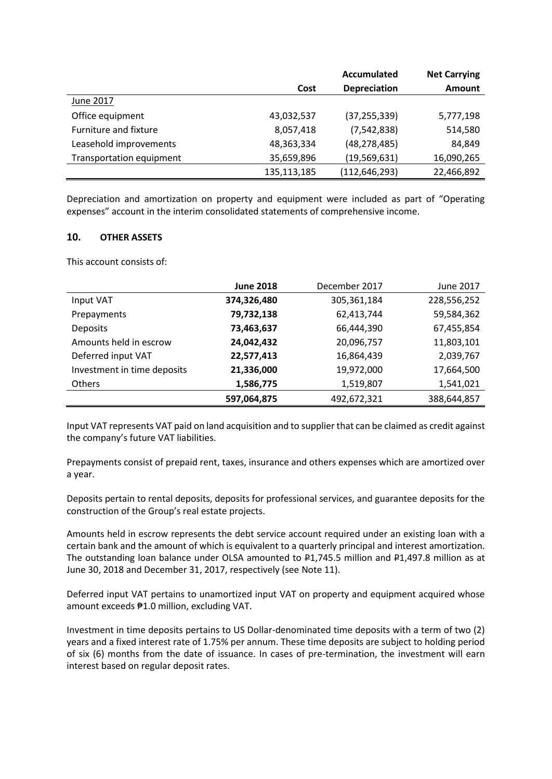|                          |             | Accumulated         | <b>Net Carrying</b> |
|--------------------------|-------------|---------------------|---------------------|
|                          | Cost        | <b>Depreciation</b> | Amount              |
| June 2017                |             |                     |                     |
| Office equipment         | 43,032,537  | (37, 255, 339)      | 5,777,198           |
| Furniture and fixture    | 8,057,418   | (7, 542, 838)       | 514,580             |
| Leasehold improvements   | 48,363,334  | (48, 278, 485)      | 84,849              |
| Transportation equipment | 35,659,896  | (19, 569, 631)      | 16,090,265          |
|                          | 135,113,185 | (112, 646, 293)     | 22,466,892          |

Depreciation and amortization on property and equipment were included as part of "Operating expenses" account in the interim consolidated statements of comprehensive income.

## **10. OTHER ASSETS**

This account consists of:

|                             | <b>June 2018</b> | December 2017 | June 2017   |
|-----------------------------|------------------|---------------|-------------|
| Input VAT                   | 374,326,480      | 305,361,184   | 228,556,252 |
| Prepayments                 | 79,732,138       | 62,413,744    | 59,584,362  |
| <b>Deposits</b>             | 73,463,637       | 66,444,390    | 67,455,854  |
| Amounts held in escrow      | 24,042,432       | 20,096,757    | 11,803,101  |
| Deferred input VAT          | 22,577,413       | 16,864,439    | 2,039,767   |
| Investment in time deposits | 21,336,000       | 19,972,000    | 17,664,500  |
| <b>Others</b>               | 1,586,775        | 1,519,807     | 1,541,021   |
|                             | 597,064,875      | 492,672,321   | 388,644,857 |

Input VAT represents VAT paid on land acquisition and to supplier that can be claimed as credit against the company's future VAT liabilities.

Prepayments consist of prepaid rent, taxes, insurance and others expenses which are amortized over a year.

Deposits pertain to rental deposits, deposits for professional services, and guarantee deposits for the construction of the Group's real estate projects.

Amounts held in escrow represents the debt service account required under an existing loan with a certain bank and the amount of which is equivalent to a quarterly principal and interest amortization. The outstanding loan balance under OLSA amounted to P1,745.5 million and P1,497.8 million as at June 30, 2018 and December 31, 2017, respectively (see Note 11).

Deferred input VAT pertains to unamortized input VAT on property and equipment acquired whose amount exceeds ₱1.0 million, excluding VAT.

Investment in time deposits pertains to US Dollar-denominated time deposits with a term of two (2) years and a fixed interest rate of 1.75% per annum. These time deposits are subject to holding period of six (6) months from the date of issuance. In cases of pre-termination, the investment will earn interest based on regular deposit rates.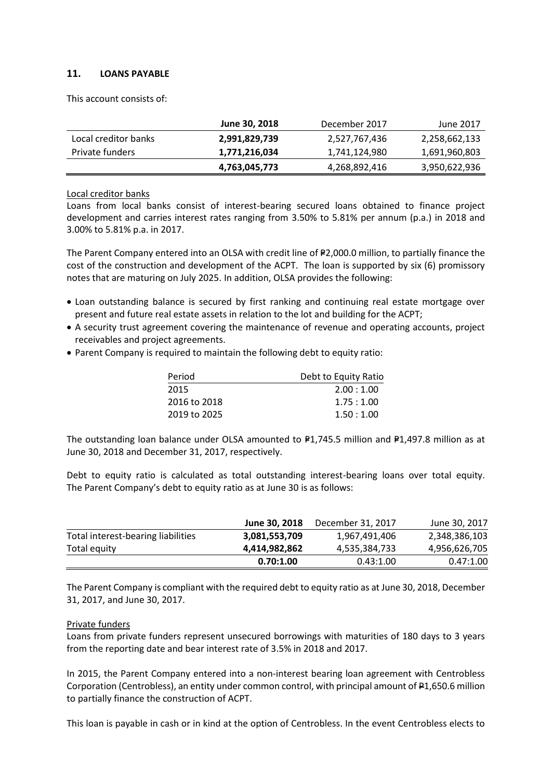## **11. LOANS PAYABLE**

This account consists of:

|                      | June 30, 2018 | December 2017 | June 2017     |
|----------------------|---------------|---------------|---------------|
| Local creditor banks | 2,991,829,739 | 2,527,767,436 | 2,258,662,133 |
| Private funders      | 1,771,216,034 | 1,741,124,980 | 1,691,960,803 |
|                      | 4,763,045,773 | 4,268,892,416 | 3,950,622,936 |

#### Local creditor banks

Loans from local banks consist of interest-bearing secured loans obtained to finance project development and carries interest rates ranging from 3.50% to 5.81% per annum (p.a.) in 2018 and 3.00% to 5.81% p.a. in 2017.

The Parent Company entered into an OLSA with credit line of P2,000.0 million, to partially finance the cost of the construction and development of the ACPT. The loan is supported by six (6) promissory notes that are maturing on July 2025. In addition, OLSA provides the following:

- Loan outstanding balance is secured by first ranking and continuing real estate mortgage over present and future real estate assets in relation to the lot and building for the ACPT;
- A security trust agreement covering the maintenance of revenue and operating accounts, project receivables and project agreements.
- Parent Company is required to maintain the following debt to equity ratio:

| Period<br>Debt to Equity Ratio |           |  |
|--------------------------------|-----------|--|
| 2015                           | 2.00:1.00 |  |
| 2016 to 2018                   | 1.75:1.00 |  |
| 2019 to 2025                   | 1.50:1.00 |  |

The outstanding loan balance under OLSA amounted to  $P1,745.5$  million and  $P1,497.8$  million as at June 30, 2018 and December 31, 2017, respectively.

Debt to equity ratio is calculated as total outstanding interest-bearing loans over total equity. The Parent Company's debt to equity ratio as at June 30 is as follows:

|                                    | June 30, 2018 | December 31, 2017 | June 30, 2017 |
|------------------------------------|---------------|-------------------|---------------|
| Total interest-bearing liabilities | 3,081,553,709 | 1,967,491,406     | 2,348,386,103 |
| Total equity                       | 4,414,982,862 | 4,535,384,733     | 4,956,626,705 |
|                                    | 0.70:1.00     | 0.43:1.00         | 0.47:1.00     |

The Parent Company is compliant with the required debt to equity ratio as at June 30, 2018, December 31, 2017, and June 30, 2017.

## Private funders

Loans from private funders represent unsecured borrowings with maturities of 180 days to 3 years from the reporting date and bear interest rate of 3.5% in 2018 and 2017.

In 2015, the Parent Company entered into a non-interest bearing loan agreement with Centrobless Corporation (Centrobless), an entity under common control, with principal amount of P1,650.6 million to partially finance the construction of ACPT.

This loan is payable in cash or in kind at the option of Centrobless. In the event Centrobless elects to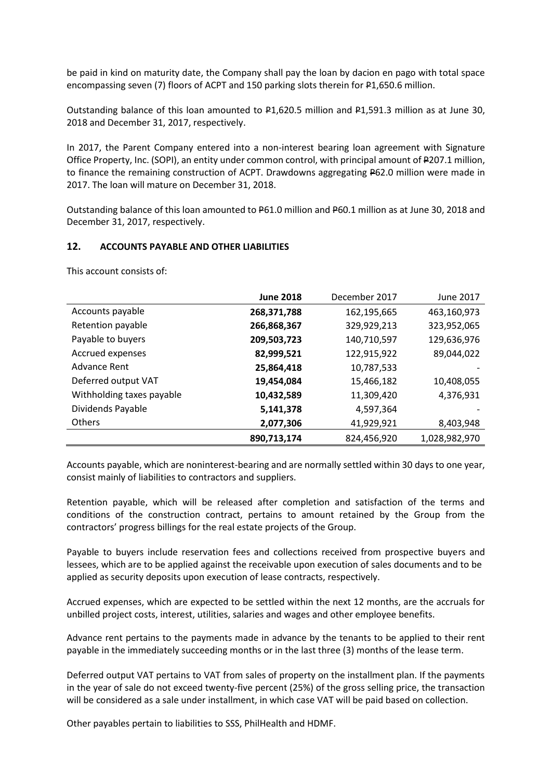be paid in kind on maturity date, the Company shall pay the loan by dacion en pago with total space encompassing seven (7) floors of ACPT and 150 parking slots therein for P1,650.6 million.

Outstanding balance of this loan amounted to P1,620.5 million and P1,591.3 million as at June 30, 2018 and December 31, 2017, respectively.

In 2017, the Parent Company entered into a non-interest bearing loan agreement with Signature Office Property, Inc. (SOPI), an entity under common control, with principal amount of P207.1 million, to finance the remaining construction of ACPT. Drawdowns aggregating P62.0 million were made in 2017. The loan will mature on December 31, 2018.

Outstanding balance of this loan amounted to P61.0 million and P60.1 million as at June 30, 2018 and December 31, 2017, respectively.

#### **12. ACCOUNTS PAYABLE AND OTHER LIABILITIES**

This account consists of:

|                           | <b>June 2018</b> | December 2017 | June 2017     |
|---------------------------|------------------|---------------|---------------|
| Accounts payable          | 268,371,788      | 162,195,665   | 463,160,973   |
| Retention payable         | 266,868,367      | 329,929,213   | 323,952,065   |
| Payable to buyers         | 209,503,723      | 140,710,597   | 129,636,976   |
| Accrued expenses          | 82,999,521       | 122,915,922   | 89,044,022    |
| Advance Rent              | 25,864,418       | 10,787,533    |               |
| Deferred output VAT       | 19,454,084       | 15,466,182    | 10,408,055    |
| Withholding taxes payable | 10,432,589       | 11,309,420    | 4,376,931     |
| Dividends Payable         | 5,141,378        | 4,597,364     |               |
| Others                    | 2,077,306        | 41,929,921    | 8,403,948     |
|                           | 890,713,174      | 824,456,920   | 1,028,982,970 |

Accounts payable, which are noninterest-bearing and are normally settled within 30 days to one year, consist mainly of liabilities to contractors and suppliers.

Retention payable, which will be released after completion and satisfaction of the terms and conditions of the construction contract, pertains to amount retained by the Group from the contractors' progress billings for the real estate projects of the Group.

Payable to buyers include reservation fees and collections received from prospective buyers and lessees, which are to be applied against the receivable upon execution of sales documents and to be applied as security deposits upon execution of lease contracts, respectively.

Accrued expenses, which are expected to be settled within the next 12 months, are the accruals for unbilled project costs, interest, utilities, salaries and wages and other employee benefits.

Advance rent pertains to the payments made in advance by the tenants to be applied to their rent payable in the immediately succeeding months or in the last three (3) months of the lease term.

Deferred output VAT pertains to VAT from sales of property on the installment plan. If the payments in the year of sale do not exceed twenty-five percent (25%) of the gross selling price, the transaction will be considered as a sale under installment, in which case VAT will be paid based on collection.

Other payables pertain to liabilities to SSS, PhilHealth and HDMF.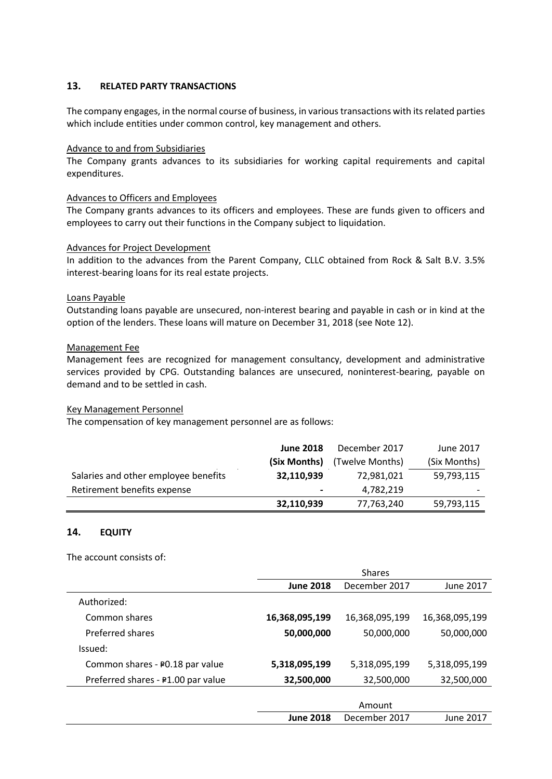## **13. RELATED PARTY TRANSACTIONS**

The company engages, in the normal course of business, in various transactions with its related parties which include entities under common control, key management and others.

#### Advance to and from Subsidiaries

The Company grants advances to its subsidiaries for working capital requirements and capital expenditures.

## Advances to Officers and Employees

The Company grants advances to its officers and employees. These are funds given to officers and employees to carry out their functions in the Company subject to liquidation.

#### Advances for Project Development

In addition to the advances from the Parent Company, CLLC obtained from Rock & Salt B.V. 3.5% interest-bearing loans for its real estate projects.

#### Loans Payable

Outstanding loans payable are unsecured, non‐interest bearing and payable in cash or in kind at the option of the lenders. These loans will mature on December 31, 2018 (see Note 12).

#### Management Fee

Management fees are recognized for management consultancy, development and administrative services provided by CPG. Outstanding balances are unsecured, noninterest-bearing, payable on demand and to be settled in cash.

## Key Management Personnel

The compensation of key management personnel are as follows:

|                                      | <b>June 2018</b> | December 2017   | June 2017    |
|--------------------------------------|------------------|-----------------|--------------|
|                                      | (Six Months)     | (Twelve Months) | (Six Months) |
| Salaries and other employee benefits | 32,110,939       | 72,981,021      | 59,793,115   |
| Retirement benefits expense          | $\blacksquare$   | 4,782,219       |              |
|                                      | 32,110,939       | 77,763,240      | 59,793,115   |

## **14. EQUITY**

The account consists of:

|                                    | <b>Shares</b>    |                |                |
|------------------------------------|------------------|----------------|----------------|
|                                    | <b>June 2018</b> | December 2017  | June 2017      |
| Authorized:                        |                  |                |                |
| Common shares                      | 16,368,095,199   | 16,368,095,199 | 16,368,095,199 |
| Preferred shares                   | 50,000,000       | 50,000,000     | 50,000,000     |
| Issued:                            |                  |                |                |
| Common shares - ₽0.18 par value    | 5,318,095,199    | 5,318,095,199  | 5,318,095,199  |
| Preferred shares - #1.00 par value | 32,500,000       | 32,500,000     | 32,500,000     |
|                                    |                  |                |                |
|                                    |                  | Amount         |                |
|                                    | <b>June 2018</b> | December 2017  | June 2017      |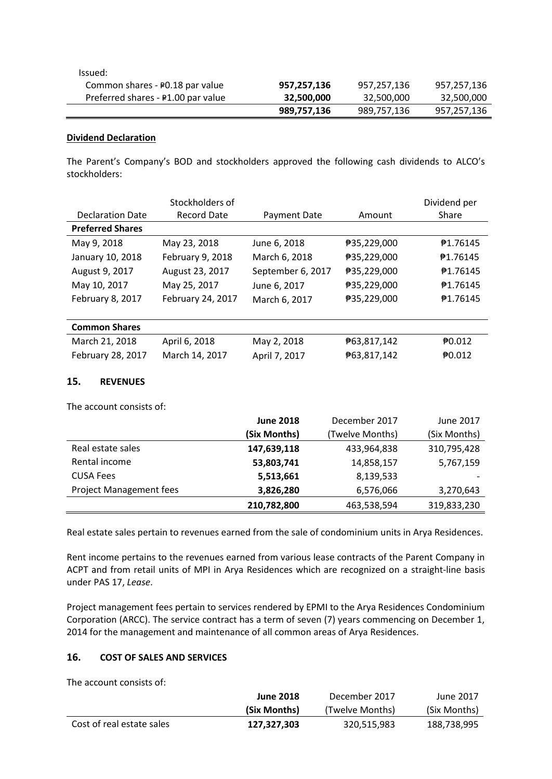| Issued:                            |             |             |             |
|------------------------------------|-------------|-------------|-------------|
| Common shares - ₽0.18 par value    | 957,257,136 | 957,257,136 | 957,257,136 |
| Preferred shares - P1.00 par value | 32,500,000  | 32,500,000  | 32,500,000  |
|                                    | 989,757,136 | 989,757,136 | 957,257,136 |

## **Dividend Declaration**

The Parent's Company's BOD and stockholders approved the following cash dividends to ALCO's stockholders:

|                         | Stockholders of    |                   |             | Dividend per      |
|-------------------------|--------------------|-------------------|-------------|-------------------|
| <b>Declaration Date</b> | <b>Record Date</b> | Payment Date      | Amount      | Share             |
| <b>Preferred Shares</b> |                    |                   |             |                   |
| May 9, 2018             | May 23, 2018       | June 6, 2018      | ₱35,229,000 | ₱1.76145          |
| January 10, 2018        | February 9, 2018   | March 6, 2018     | ₱35,229,000 | ₱1.76145          |
| August 9, 2017          | August 23, 2017    | September 6, 2017 | ₱35,229,000 | ₱1.76145          |
| May 10, 2017            | May 25, 2017       | June 6, 2017      | ₱35,229,000 | ₱1.76145          |
| February 8, 2017        | February 24, 2017  | March 6, 2017     | ₱35,229,000 | ₱1.76145          |
|                         |                    |                   |             |                   |
| <b>Common Shares</b>    |                    |                   |             |                   |
| March 21, 2018          | April 6, 2018      | May 2, 2018       | ₱63,817,142 | 70.012            |
| February 28, 2017       | March 14, 2017     | April 7, 2017     | ₱63,817,142 | $\bigoplus 0.012$ |

## **15. REVENUES**

The account consists of:

|                                | <b>June 2018</b> | December 2017   | June 2017    |
|--------------------------------|------------------|-----------------|--------------|
|                                | (Six Months)     | (Twelve Months) | (Six Months) |
| Real estate sales              | 147,639,118      | 433,964,838     | 310,795,428  |
| Rental income                  | 53,803,741       | 14,858,157      | 5,767,159    |
| <b>CUSA Fees</b>               | 5,513,661        | 8,139,533       |              |
| <b>Project Management fees</b> | 3,826,280        | 6,576,066       | 3,270,643    |
|                                | 210,782,800      | 463,538,594     | 319,833,230  |

Real estate sales pertain to revenues earned from the sale of condominium units in Arya Residences.

Rent income pertains to the revenues earned from various lease contracts of the Parent Company in ACPT and from retail units of MPI in Arya Residences which are recognized on a straight-line basis under PAS 17, *Lease*.

Project management fees pertain to services rendered by EPMI to the Arya Residences Condominium Corporation (ARCC). The service contract has a term of seven (7) years commencing on December 1, 2014 for the management and maintenance of all common areas of Arya Residences.

## **16. COST OF SALES AND SERVICES**

The account consists of:

|                           | <b>June 2018</b> | December 2017   | June 2017    |
|---------------------------|------------------|-----------------|--------------|
|                           | (Six Months)     | (Twelve Months) | (Six Months) |
| Cost of real estate sales | 127.327.303      | 320.515.983     | 188.738.995  |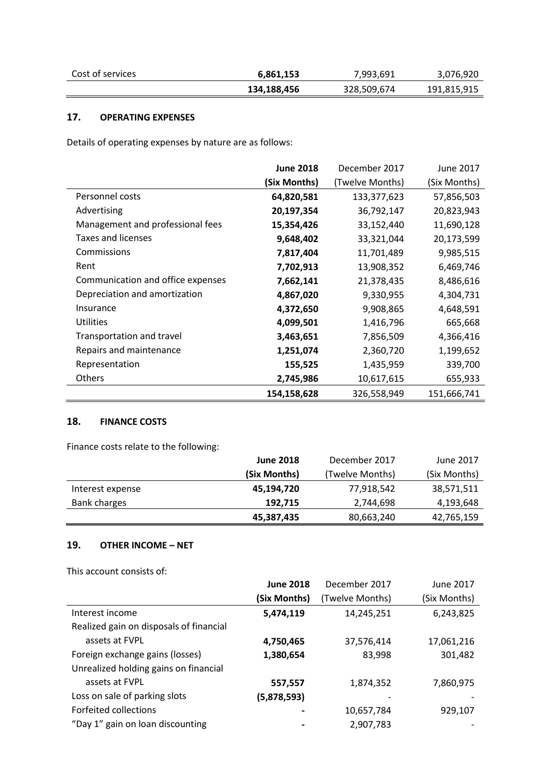| Cost of services | 6,861,153   | 7,993,691   | 3,076,920   |
|------------------|-------------|-------------|-------------|
|                  | 134,188,456 | 328,509,674 | 191,815,915 |

## **17. OPERATING EXPENSES**

Details of operating expenses by nature are as follows:

|                                   | <b>June 2018</b> | December 2017   | June 2017    |
|-----------------------------------|------------------|-----------------|--------------|
|                                   | (Six Months)     | (Twelve Months) | (Six Months) |
| Personnel costs                   | 64,820,581       | 133, 377, 623   | 57,856,503   |
| Advertising                       | 20,197,354       | 36,792,147      | 20,823,943   |
| Management and professional fees  | 15,354,426       | 33,152,440      | 11,690,128   |
| <b>Taxes and licenses</b>         | 9,648,402        | 33,321,044      | 20,173,599   |
| Commissions                       | 7,817,404        | 11,701,489      | 9,985,515    |
| Rent                              | 7,702,913        | 13,908,352      | 6,469,746    |
| Communication and office expenses | 7,662,141        | 21,378,435      | 8,486,616    |
| Depreciation and amortization     | 4,867,020        | 9,330,955       | 4,304,731    |
| Insurance                         | 4,372,650        | 9,908,865       | 4,648,591    |
| <b>Utilities</b>                  | 4,099,501        | 1,416,796       | 665,668      |
| Transportation and travel         | 3,463,651        | 7,856,509       | 4,366,416    |
| Repairs and maintenance           | 1,251,074        | 2,360,720       | 1,199,652    |
| Representation                    | 155,525          | 1,435,959       | 339,700      |
| Others                            | 2,745,986        | 10,617,615      | 655,933      |
|                                   | 154,158,628      | 326,558,949     | 151,666,741  |

## **18. FINANCE COSTS**

Finance costs relate to the following:

|                  | <b>June 2018</b> | December 2017   | June 2017    |
|------------------|------------------|-----------------|--------------|
|                  | (Six Months)     | (Twelve Months) | (Six Months) |
| Interest expense | 45,194,720       | 77,918,542      | 38,571,511   |
| Bank charges     | 192.715          | 2,744,698       | 4,193,648    |
|                  | 45,387,435       | 80,663,240      | 42,765,159   |

## **19. OTHER INCOME – NET**

This account consists of:

|                                         | <b>June 2018</b> | December 2017   | June 2017    |
|-----------------------------------------|------------------|-----------------|--------------|
|                                         | (Six Months)     | (Twelve Months) | (Six Months) |
| Interest income                         | 5,474,119        | 14,245,251      | 6,243,825    |
| Realized gain on disposals of financial |                  |                 |              |
| assets at FVPL                          | 4,750,465        | 37,576,414      | 17,061,216   |
| Foreign exchange gains (losses)         | 1,380,654        | 83,998          | 301,482      |
| Unrealized holding gains on financial   |                  |                 |              |
| assets at FVPL                          | 557,557          | 1,874,352       | 7,860,975    |
| Loss on sale of parking slots           | (5,878,593)      |                 |              |
| Forfeited collections                   |                  | 10,657,784      | 929,107      |
| "Day 1" gain on loan discounting        |                  | 2,907,783       |              |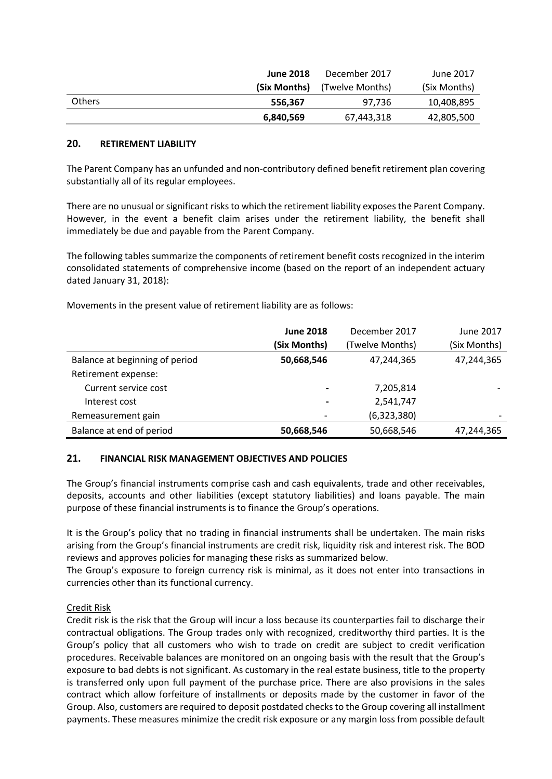|               | <b>June 2018</b> | December 2017   | June 2017    |
|---------------|------------------|-----------------|--------------|
|               | (Six Months)     | (Twelve Months) | (Six Months) |
| <b>Others</b> | 556.367          | 97.736          | 10,408,895   |
|               | 6,840,569        | 67,443,318      | 42,805,500   |

## **20. RETIREMENT LIABILITY**

The Parent Company has an unfunded and non-contributory defined benefit retirement plan covering substantially all of its regular employees.

There are no unusual or significant risks to which the retirement liability exposes the Parent Company. However, in the event a benefit claim arises under the retirement liability, the benefit shall immediately be due and payable from the Parent Company.

The following tables summarize the components of retirement benefit costs recognized in the interim consolidated statements of comprehensive income (based on the report of an independent actuary dated January 31, 2018):

Movements in the present value of retirement liability are as follows:

|                                | <b>June 2018</b> | December 2017   | June 2017    |
|--------------------------------|------------------|-----------------|--------------|
|                                | (Six Months)     | (Twelve Months) | (Six Months) |
| Balance at beginning of period | 50,668,546       | 47,244,365      | 47,244,365   |
| Retirement expense:            |                  |                 |              |
| Current service cost           | $\blacksquare$   | 7,205,814       |              |
| Interest cost                  | $\hbox{ }$       | 2,541,747       |              |
| Remeasurement gain             |                  | (6,323,380)     |              |
| Balance at end of period       | 50,668,546       | 50,668,546      | 47,244,365   |

## **21. FINANCIAL RISK MANAGEMENT OBJECTIVES AND POLICIES**

The Group's financial instruments comprise cash and cash equivalents, trade and other receivables, deposits, accounts and other liabilities (except statutory liabilities) and loans payable. The main purpose of these financial instruments is to finance the Group's operations.

It is the Group's policy that no trading in financial instruments shall be undertaken. The main risks arising from the Group's financial instruments are credit risk, liquidity risk and interest risk. The BOD reviews and approves policies for managing these risks as summarized below.

The Group's exposure to foreign currency risk is minimal, as it does not enter into transactions in currencies other than its functional currency.

## Credit Risk

Credit risk is the risk that the Group will incur a loss because its counterparties fail to discharge their contractual obligations. The Group trades only with recognized, creditworthy third parties. It is the Group's policy that all customers who wish to trade on credit are subject to credit verification procedures. Receivable balances are monitored on an ongoing basis with the result that the Group's exposure to bad debts is not significant. As customary in the real estate business, title to the property is transferred only upon full payment of the purchase price. There are also provisions in the sales contract which allow forfeiture of installments or deposits made by the customer in favor of the Group. Also, customers are required to deposit postdated checks to the Group covering all installment payments. These measures minimize the credit risk exposure or any margin loss from possible default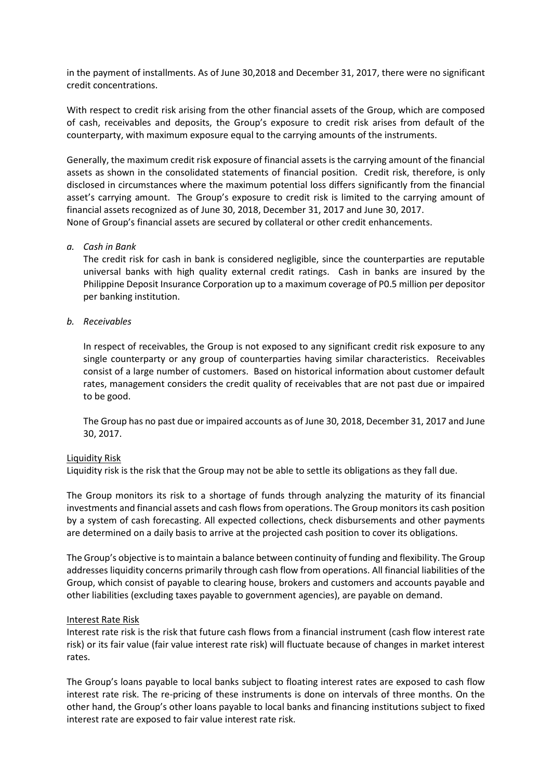in the payment of installments. As of June 30,2018 and December 31, 2017, there were no significant credit concentrations.

With respect to credit risk arising from the other financial assets of the Group, which are composed of cash, receivables and deposits, the Group's exposure to credit risk arises from default of the counterparty, with maximum exposure equal to the carrying amounts of the instruments.

Generally, the maximum credit risk exposure of financial assets is the carrying amount of the financial assets as shown in the consolidated statements of financial position. Credit risk, therefore, is only disclosed in circumstances where the maximum potential loss differs significantly from the financial asset's carrying amount. The Group's exposure to credit risk is limited to the carrying amount of financial assets recognized as of June 30, 2018, December 31, 2017 and June 30, 2017. None of Group's financial assets are secured by collateral or other credit enhancements.

#### *a. Cash in Bank*

The credit risk for cash in bank is considered negligible, since the counterparties are reputable universal banks with high quality external credit ratings. Cash in banks are insured by the Philippine Deposit Insurance Corporation up to a maximum coverage of P0.5 million per depositor per banking institution.

## *b. Receivables*

In respect of receivables, the Group is not exposed to any significant credit risk exposure to any single counterparty or any group of counterparties having similar characteristics. Receivables consist of a large number of customers. Based on historical information about customer default rates, management considers the credit quality of receivables that are not past due or impaired to be good.

The Group has no past due or impaired accounts as of June 30, 2018, December 31, 2017 and June 30, 2017.

#### Liquidity Risk

Liquidity risk is the risk that the Group may not be able to settle its obligations as they fall due.

The Group monitors its risk to a shortage of funds through analyzing the maturity of its financial investments and financial assets and cash flows from operations. The Group monitors its cash position by a system of cash forecasting. All expected collections, check disbursements and other payments are determined on a daily basis to arrive at the projected cash position to cover its obligations.

The Group's objective is to maintain a balance between continuity of funding and flexibility. The Group addresses liquidity concerns primarily through cash flow from operations. All financial liabilities of the Group, which consist of payable to clearing house, brokers and customers and accounts payable and other liabilities (excluding taxes payable to government agencies), are payable on demand.

## Interest Rate Risk

Interest rate risk is the risk that future cash flows from a financial instrument (cash flow interest rate risk) or its fair value (fair value interest rate risk) will fluctuate because of changes in market interest rates.

The Group's loans payable to local banks subject to floating interest rates are exposed to cash flow interest rate risk. The re-pricing of these instruments is done on intervals of three months. On the other hand, the Group's other loans payable to local banks and financing institutions subject to fixed interest rate are exposed to fair value interest rate risk.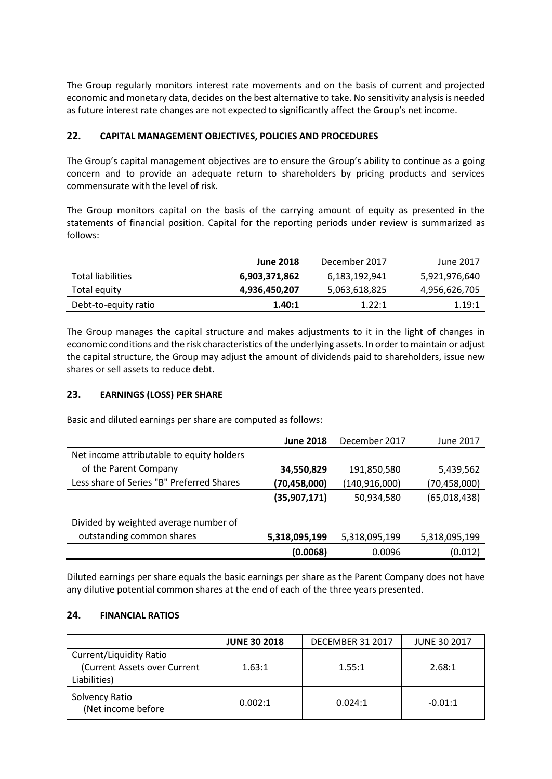The Group regularly monitors interest rate movements and on the basis of current and projected economic and monetary data, decides on the best alternative to take. No sensitivity analysis is needed as future interest rate changes are not expected to significantly affect the Group's net income.

## **22. CAPITAL MANAGEMENT OBJECTIVES, POLICIES AND PROCEDURES**

The Group's capital management objectives are to ensure the Group's ability to continue as a going concern and to provide an adequate return to shareholders by pricing products and services commensurate with the level of risk.

The Group monitors capital on the basis of the carrying amount of equity as presented in the statements of financial position. Capital for the reporting periods under review is summarized as follows:

|                          | <b>June 2018</b> | December 2017 | June 2017     |
|--------------------------|------------------|---------------|---------------|
| <b>Total liabilities</b> | 6,903,371,862    | 6,183,192,941 | 5,921,976,640 |
| Total equity             | 4,936,450,207    | 5,063,618,825 | 4,956,626,705 |
| Debt-to-equity ratio     | 1.40:1           | 1.22:1        | 1.19:1        |

The Group manages the capital structure and makes adjustments to it in the light of changes in economic conditions and the risk characteristics of the underlying assets. In order to maintain or adjust the capital structure, the Group may adjust the amount of dividends paid to shareholders, issue new shares or sell assets to reduce debt.

## **23. EARNINGS (LOSS) PER SHARE**

Basic and diluted earnings per share are computed as follows:

|                                           | <b>June 2018</b> | December 2017   | June 2017      |
|-------------------------------------------|------------------|-----------------|----------------|
| Net income attributable to equity holders |                  |                 |                |
| of the Parent Company                     | 34,550,829       | 191,850,580     | 5,439,562      |
| Less share of Series "B" Preferred Shares | (70, 458, 000)   | (140, 916, 000) | (70, 458, 000) |
|                                           | (35,907,171)     | 50,934,580      | (65,018,438)   |
| Divided by weighted average number of     |                  |                 |                |
| outstanding common shares                 | 5,318,095,199    | 5,318,095,199   | 5,318,095,199  |
|                                           | (0.0068)         | 0.0096          | (0.012)        |

Diluted earnings per share equals the basic earnings per share as the Parent Company does not have any dilutive potential common shares at the end of each of the three years presented.

## **24. FINANCIAL RATIOS**

|                                                                                | <b>JUNE 30 2018</b> | DECEMBER 31 2017 | <b>JUNE 30 2017</b> |
|--------------------------------------------------------------------------------|---------------------|------------------|---------------------|
| <b>Current/Liquidity Ratio</b><br>(Current Assets over Current<br>Liabilities) | 1.63:1              | 1.55:1           | 2.68:1              |
| Solvency Ratio<br>(Net income before                                           | 0.002:1             | 0.024:1          | $-0.01:1$           |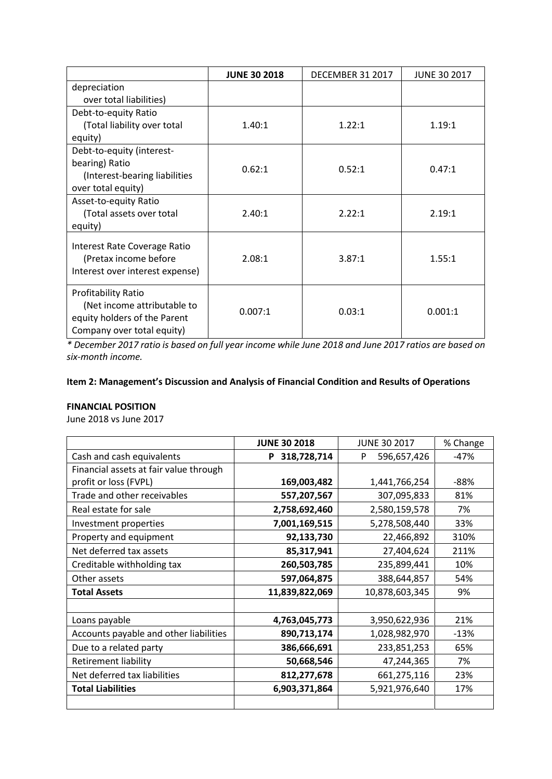|                                 | <b>JUNE 30 2018</b> | <b>DECEMBER 31 2017</b> | <b>JUNE 30 2017</b> |
|---------------------------------|---------------------|-------------------------|---------------------|
| depreciation                    |                     |                         |                     |
| over total liabilities)         |                     |                         |                     |
| Debt-to-equity Ratio            |                     |                         |                     |
| (Total liability over total     | 1.40:1              | 1.22:1                  | 1.19:1              |
| equity)                         |                     |                         |                     |
| Debt-to-equity (interest-       |                     |                         |                     |
| bearing) Ratio                  | 0.62:1              | 0.52:1                  | 0.47:1              |
| (Interest-bearing liabilities   |                     |                         |                     |
| over total equity)              |                     |                         |                     |
| Asset-to-equity Ratio           |                     |                         |                     |
| (Total assets over total        | 2.40:1              | 2.22:1                  | 2.19:1              |
| equity)                         |                     |                         |                     |
| Interest Rate Coverage Ratio    |                     |                         |                     |
| (Pretax income before           | 2.08:1              | 3.87:1                  | 1.55:1              |
| Interest over interest expense) |                     |                         |                     |
|                                 |                     |                         |                     |
| <b>Profitability Ratio</b>      |                     |                         |                     |
| (Net income attributable to     | 0.007:1             | 0.03:1                  | 0.001:1             |
| equity holders of the Parent    |                     |                         |                     |
| Company over total equity)      |                     |                         |                     |

*\* December 2017 ratio is based on full year income while June 2018 and June 2017 ratios are based on six-month income.*

## **Item 2: Management's Discussion and Analysis of Financial Condition and Results of Operations**

## **FINANCIAL POSITION**

June 2018 vs June 2017

|                                        | <b>JUNE 30 2018</b> | <b>JUNE 30 2017</b> | % Change |
|----------------------------------------|---------------------|---------------------|----------|
| Cash and cash equivalents              | 318,728,714<br>P    | 596,657,426<br>P    | $-47%$   |
| Financial assets at fair value through |                     |                     |          |
| profit or loss (FVPL)                  | 169,003,482         | 1,441,766,254       | $-88%$   |
| Trade and other receivables            | 557,207,567         | 307,095,833         | 81%      |
| Real estate for sale                   | 2,758,692,460       | 2,580,159,578       | 7%       |
| Investment properties                  | 7,001,169,515       | 5,278,508,440       | 33%      |
| Property and equipment                 | 92,133,730          | 22,466,892          | 310%     |
| Net deferred tax assets                | 85,317,941          | 27,404,624          | 211%     |
| Creditable withholding tax             | 260,503,785         | 235,899,441         | 10%      |
| Other assets                           | 597,064,875         | 388,644,857         | 54%      |
| <b>Total Assets</b>                    | 11,839,822,069      | 10,878,603,345      | 9%       |
|                                        |                     |                     |          |
| Loans payable                          | 4,763,045,773       | 3,950,622,936       | 21%      |
| Accounts payable and other liabilities | 890,713,174         | 1,028,982,970       | $-13%$   |
| Due to a related party                 | 386,666,691         | 233,851,253         | 65%      |
| <b>Retirement liability</b>            | 50,668,546          | 47,244,365          | 7%       |
| Net deferred tax liabilities           | 812,277,678         | 661,275,116         | 23%      |
| <b>Total Liabilities</b>               | 6,903,371,864       | 5,921,976,640       | 17%      |
|                                        |                     |                     |          |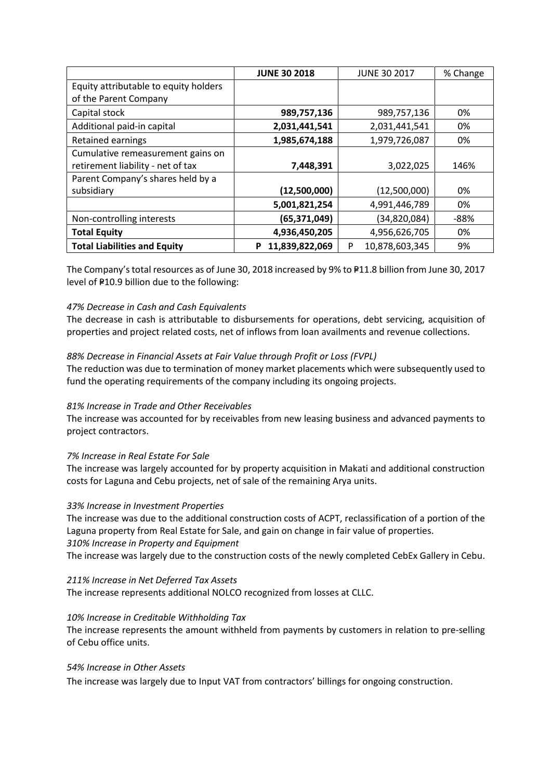|                                       | <b>JUNE 30 2018</b> | <b>JUNE 30 2017</b> | % Change |
|---------------------------------------|---------------------|---------------------|----------|
| Equity attributable to equity holders |                     |                     |          |
| of the Parent Company                 |                     |                     |          |
| Capital stock                         | 989,757,136         | 989,757,136         | 0%       |
| Additional paid-in capital            | 2,031,441,541       | 2,031,441,541       | 0%       |
| Retained earnings                     | 1,985,674,188       | 1,979,726,087       | 0%       |
| Cumulative remeasurement gains on     |                     |                     |          |
| retirement liability - net of tax     | 7,448,391           | 3,022,025           | 146%     |
| Parent Company's shares held by a     |                     |                     |          |
| subsidiary                            | (12,500,000)        | (12,500,000)        | 0%       |
|                                       | 5,001,821,254       | 4,991,446,789       | 0%       |
| Non-controlling interests             | (65,371,049)        | (34, 820, 084)      | $-88%$   |
| <b>Total Equity</b>                   | 4,936,450,205       | 4,956,626,705       | 0%       |
| <b>Total Liabilities and Equity</b>   | 11,839,822,069<br>P | 10,878,603,345<br>P | 9%       |

The Company's total resources as of June 30, 2018 increased by 9% to P11.8 billion from June 30, 2017 level of P10.9 billion due to the following:

## *47% Decrease in Cash and Cash Equivalents*

The decrease in cash is attributable to disbursements for operations, debt servicing, acquisition of properties and project related costs, net of inflows from loan availments and revenue collections.

## *88% Decrease in Financial Assets at Fair Value through Profit or Loss (FVPL)*

The reduction was due to termination of money market placements which were subsequently used to fund the operating requirements of the company including its ongoing projects.

## *81% Increase in Trade and Other Receivables*

The increase was accounted for by receivables from new leasing business and advanced payments to project contractors.

## *7% Increase in Real Estate For Sale*

The increase was largely accounted for by property acquisition in Makati and additional construction costs for Laguna and Cebu projects, net of sale of the remaining Arya units.

## *33% Increase in Investment Properties*

The increase was due to the additional construction costs of ACPT, reclassification of a portion of the Laguna property from Real Estate for Sale, and gain on change in fair value of properties. *310% Increase in Property and Equipment*

The increase was largely due to the construction costs of the newly completed CebEx Gallery in Cebu.

## *211% Increase in Net Deferred Tax Assets*

The increase represents additional NOLCO recognized from losses at CLLC.

## *10% Increase in Creditable Withholding Tax*

The increase represents the amount withheld from payments by customers in relation to pre-selling of Cebu office units.

#### *54% Increase in Other Assets*

The increase was largely due to Input VAT from contractors' billings for ongoing construction.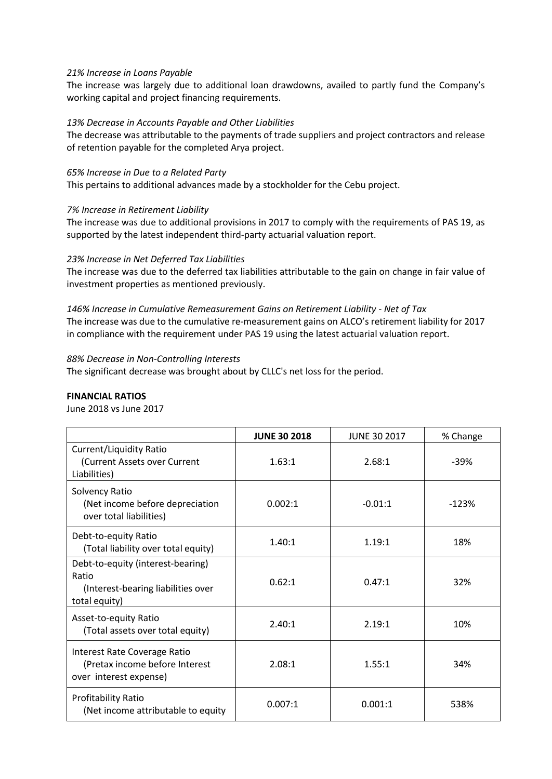#### *21% Increase in Loans Payable*

The increase was largely due to additional loan drawdowns, availed to partly fund the Company's working capital and project financing requirements.

#### *13% Decrease in Accounts Payable and Other Liabilities*

The decrease was attributable to the payments of trade suppliers and project contractors and release of retention payable for the completed Arya project.

#### *65% Increase in Due to a Related Party*

This pertains to additional advances made by a stockholder for the Cebu project.

#### *7% Increase in Retirement Liability*

The increase was due to additional provisions in 2017 to comply with the requirements of PAS 19, as supported by the latest independent third-party actuarial valuation report.

#### *23% Increase in Net Deferred Tax Liabilities*

The increase was due to the deferred tax liabilities attributable to the gain on change in fair value of investment properties as mentioned previously.

## *146% Increase in Cumulative Remeasurement Gains on Retirement Liability - Net of Tax* The increase was due to the cumulative re-measurement gains on ALCO's retirement liability for 2017 in compliance with the requirement under PAS 19 using the latest actuarial valuation report.

#### *88% Decrease in Non-Controlling Interests*

The significant decrease was brought about by CLLC's net loss for the period.

## **FINANCIAL RATIOS**

June 2018 vs June 2017

|                                                                                                   | <b>JUNE 30 2018</b> | <b>JUNE 30 2017</b> | % Change |
|---------------------------------------------------------------------------------------------------|---------------------|---------------------|----------|
| Current/Liquidity Ratio<br>(Current Assets over Current<br>Liabilities)                           | 1.63:1              | 2.68:1              | $-39%$   |
| Solvency Ratio<br>(Net income before depreciation<br>over total liabilities)                      | 0.002:1             | $-0.01:1$           | $-123%$  |
| Debt-to-equity Ratio<br>(Total liability over total equity)                                       | 1.40:1              | 1.19:1              | 18%      |
| Debt-to-equity (interest-bearing)<br>Ratio<br>(Interest-bearing liabilities over<br>total equity) | 0.62:1              | 0.47:1              | 32%      |
| Asset-to-equity Ratio<br>(Total assets over total equity)                                         | 2.40:1              | 2.19:1              | 10%      |
| Interest Rate Coverage Ratio<br>(Pretax income before Interest<br>over interest expense)          | 2.08:1              | 1.55:1              | 34%      |
| <b>Profitability Ratio</b><br>(Net income attributable to equity                                  | 0.007:1             | 0.001:1             | 538%     |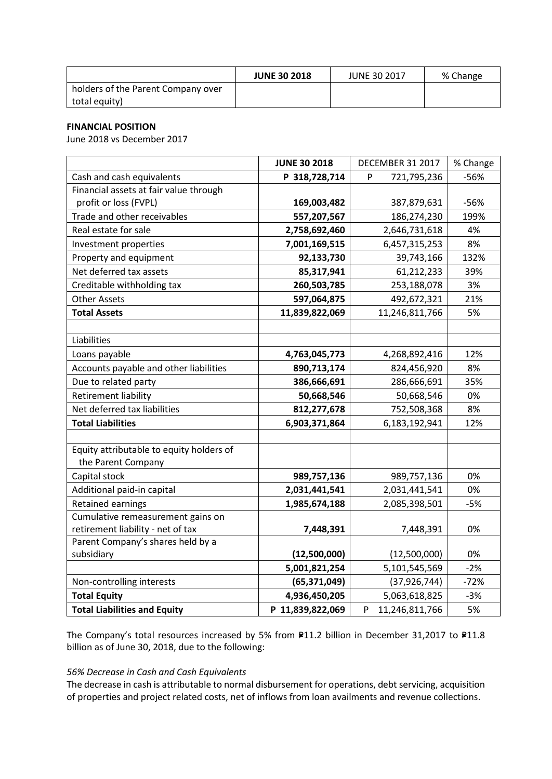|                                    | <b>JUNE 30 2018</b> | <b>JUNE 30 2017</b> | % Change |
|------------------------------------|---------------------|---------------------|----------|
| holders of the Parent Company over |                     |                     |          |
| total equity)                      |                     |                     |          |

## **FINANCIAL POSITION**

June 2018 vs December 2017

|                                          | <b>JUNE 30 2018</b> | DECEMBER 31 2017    | % Change |
|------------------------------------------|---------------------|---------------------|----------|
| Cash and cash equivalents                | P 318,728,714       | P<br>721,795,236    | $-56%$   |
| Financial assets at fair value through   |                     |                     |          |
| profit or loss (FVPL)                    | 169,003,482         | 387,879,631         | $-56%$   |
| Trade and other receivables              | 557,207,567         | 186,274,230         | 199%     |
| Real estate for sale                     | 2,758,692,460       | 2,646,731,618       | 4%       |
| Investment properties                    | 7,001,169,515       | 6,457,315,253       | 8%       |
| Property and equipment                   | 92,133,730          | 39,743,166          | 132%     |
| Net deferred tax assets                  | 85,317,941          | 61,212,233          | 39%      |
| Creditable withholding tax               | 260,503,785         | 253,188,078         | 3%       |
| <b>Other Assets</b>                      | 597,064,875         | 492,672,321         | 21%      |
| <b>Total Assets</b>                      | 11,839,822,069      | 11,246,811,766      | 5%       |
|                                          |                     |                     |          |
| Liabilities                              |                     |                     |          |
| Loans payable                            | 4,763,045,773       | 4,268,892,416       | 12%      |
| Accounts payable and other liabilities   | 890,713,174         | 824,456,920         | 8%       |
| Due to related party                     | 386,666,691         | 286,666,691         | 35%      |
| <b>Retirement liability</b>              | 50,668,546          | 50,668,546          | 0%       |
| Net deferred tax liabilities             | 812,277,678         | 752,508,368         | 8%       |
| <b>Total Liabilities</b>                 | 6,903,371,864       | 6,183,192,941       | 12%      |
|                                          |                     |                     |          |
| Equity attributable to equity holders of |                     |                     |          |
| the Parent Company                       |                     |                     |          |
| Capital stock                            | 989,757,136         | 989,757,136         | 0%       |
| Additional paid-in capital               | 2,031,441,541       | 2,031,441,541       | 0%       |
| <b>Retained earnings</b>                 | 1,985,674,188       | 2,085,398,501       | $-5%$    |
| Cumulative remeasurement gains on        |                     |                     |          |
| retirement liability - net of tax        | 7,448,391           | 7,448,391           | 0%       |
| Parent Company's shares held by a        |                     |                     |          |
| subsidiary                               | (12,500,000)        | (12,500,000)        | 0%       |
|                                          | 5,001,821,254       | 5,101,545,569       | $-2%$    |
| Non-controlling interests                | (65, 371, 049)      | (37, 926, 744)      | $-72%$   |
| <b>Total Equity</b>                      | 4,936,450,205       | 5,063,618,825       | $-3%$    |
| <b>Total Liabilities and Equity</b>      | P 11,839,822,069    | 11,246,811,766<br>P | 5%       |

The Company's total resources increased by 5% from P11.2 billion in December 31,2017 to P11.8 billion as of June 30, 2018, due to the following:

## *56% Decrease in Cash and Cash Equivalents*

The decrease in cash is attributable to normal disbursement for operations, debt servicing, acquisition of properties and project related costs, net of inflows from loan availments and revenue collections.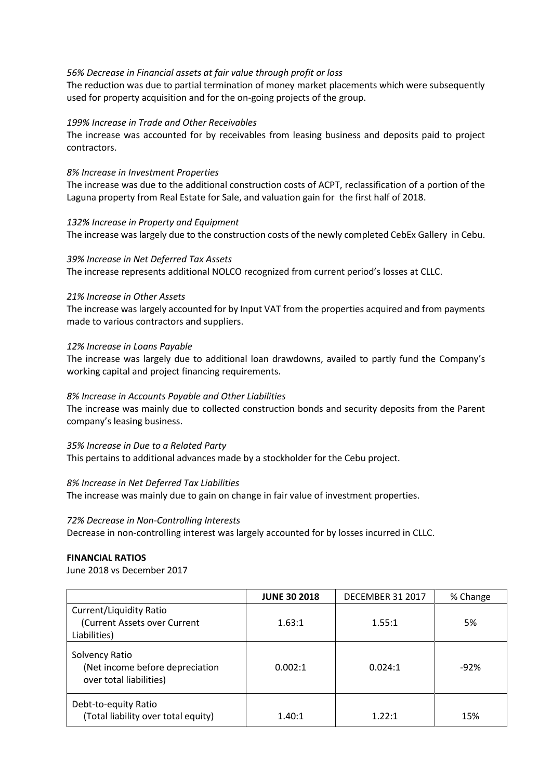## *56% Decrease in Financial assets at fair value through profit or loss*

The reduction was due to partial termination of money market placements which were subsequently used for property acquisition and for the on-going projects of the group.

#### *199% Increase in Trade and Other Receivables*

The increase was accounted for by receivables from leasing business and deposits paid to project contractors.

#### *8% Increase in Investment Properties*

The increase was due to the additional construction costs of ACPT, reclassification of a portion of the Laguna property from Real Estate for Sale, and valuation gain for the first half of 2018.

## *132% Increase in Property and Equipment*

The increase was largely due to the construction costs of the newly completed CebEx Gallery in Cebu.

#### *39% Increase in Net Deferred Tax Assets*

The increase represents additional NOLCO recognized from current period's losses at CLLC.

#### *21% Increase in Other Assets*

The increase was largely accounted for by Input VAT from the properties acquired and from payments made to various contractors and suppliers.

#### *12% Increase in Loans Payable*

The increase was largely due to additional loan drawdowns, availed to partly fund the Company's working capital and project financing requirements.

## *8% Increase in Accounts Payable and Other Liabilities*

The increase was mainly due to collected construction bonds and security deposits from the Parent company's leasing business.

#### *35% Increase in Due to a Related Party*

This pertains to additional advances made by a stockholder for the Cebu project.

#### *8% Increase in Net Deferred Tax Liabilities*

The increase was mainly due to gain on change in fair value of investment properties.

#### *72% Decrease in Non-Controlling Interests*

Decrease in non-controlling interest was largely accounted for by losses incurred in CLLC.

#### **FINANCIAL RATIOS**

June 2018 vs December 2017

|                                                                                | <b>JUNE 30 2018</b> | <b>DECEMBER 31 2017</b> | % Change |
|--------------------------------------------------------------------------------|---------------------|-------------------------|----------|
| <b>Current/Liquidity Ratio</b><br>(Current Assets over Current<br>Liabilities) | 1.63:1              | 1.55:1                  | 5%       |
| Solvency Ratio<br>(Net income before depreciation<br>over total liabilities)   | 0.002:1             | 0.024:1                 | $-92%$   |
| Debt-to-equity Ratio<br>(Total liability over total equity)                    | 1.40:1              | 1.22:1                  | 15%      |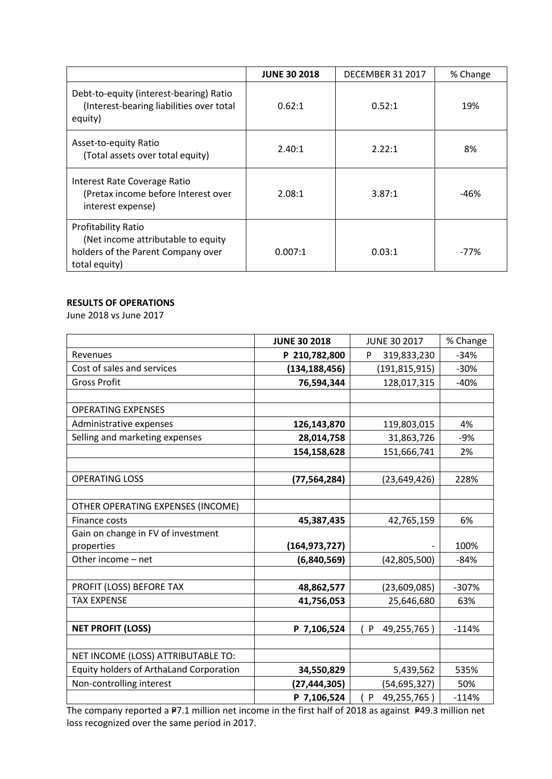|                                                                                                                  | <b>JUNE 30 2018</b> | <b>DECEMBER 31 2017</b> | % Change |
|------------------------------------------------------------------------------------------------------------------|---------------------|-------------------------|----------|
| Debt-to-equity (interest-bearing) Ratio<br>(Interest-bearing liabilities over total<br>equity)                   | 0.62:1              | 0.52:1                  | 19%      |
| Asset-to-equity Ratio<br>(Total assets over total equity)                                                        | 2.40:1              | 2.22:1                  | 8%       |
| Interest Rate Coverage Ratio<br>(Pretax income before Interest over<br>interest expense)                         | 2.08:1              | 3.87:1                  | -46%     |
| Profitability Ratio<br>(Net income attributable to equity<br>holders of the Parent Company over<br>total equity) | 0.007:1             | 0.03:1                  | -77%     |

## **RESULTS OF OPERATIONS**

June 2018 vs June 2017

|                                         | <b>JUNE 30 2018</b> | <b>JUNE 30 2017</b> | % Change |
|-----------------------------------------|---------------------|---------------------|----------|
| Revenues                                | P 210,782,800       | 319,833,230<br>P    | $-34%$   |
| Cost of sales and services              | (134, 188, 456)     | (191,815,915)       | $-30%$   |
| <b>Gross Profit</b>                     | 76,594,344          | 128,017,315         | $-40%$   |
|                                         |                     |                     |          |
| <b>OPERATING EXPENSES</b>               |                     |                     |          |
| Administrative expenses                 | 126,143,870         | 119,803,015         | 4%       |
| Selling and marketing expenses          | 28,014,758          | 31,863,726          | $-9%$    |
|                                         | 154,158,628         | 151,666,741         | 2%       |
|                                         |                     |                     |          |
| <b>OPERATING LOSS</b>                   | (77, 564, 284)      | (23, 649, 426)      | 228%     |
|                                         |                     |                     |          |
| OTHER OPERATING EXPENSES (INCOME)       |                     |                     |          |
| Finance costs                           | 45,387,435          | 42,765,159          | 6%       |
| Gain on change in FV of investment      |                     |                     |          |
| properties                              | (164, 973, 727)     |                     | 100%     |
| Other income - net                      | (6,840,569)         | (42,805,500)        | $-84%$   |
|                                         |                     |                     |          |
| PROFIT (LOSS) BEFORE TAX                | 48,862,577          | (23,609,085)        | $-307%$  |
| <b>TAX EXPENSE</b>                      | 41,756,053          | 25,646,680          | 63%      |
|                                         |                     |                     |          |
| <b>NET PROFIT (LOSS)</b>                | P 7,106,524         | P<br>49,255,765)    | $-114%$  |
|                                         |                     |                     |          |
| NET INCOME (LOSS) ATTRIBUTABLE TO:      |                     |                     |          |
| Equity holders of ArthaLand Corporation | 34,550,829          | 5,439,562           | 535%     |
| Non-controlling interest                | (27, 444, 305)      | (54, 695, 327)      | 50%      |
|                                         | P 7,106,524         | 49,255,765)<br>P    | $-114%$  |

The company reported a P7.1 million net income in the first half of 2018 as against P49.3 million net loss recognized over the same period in 2017.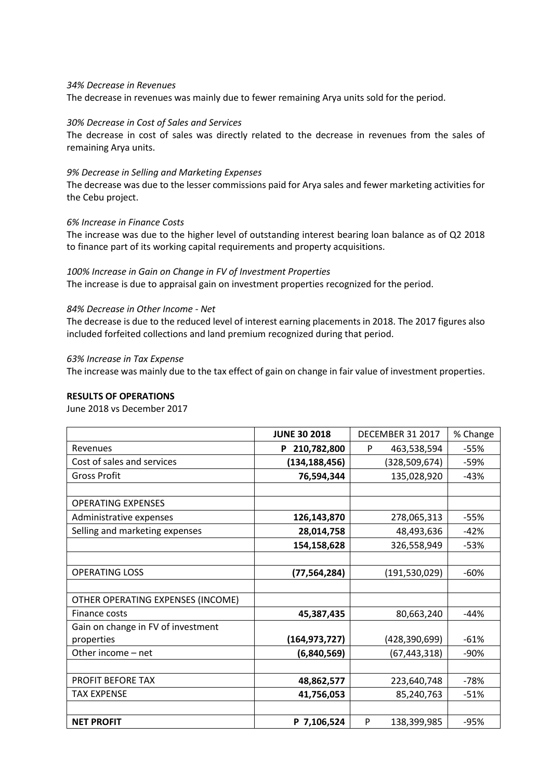#### *34% Decrease in Revenues*

The decrease in revenues was mainly due to fewer remaining Arya units sold for the period.

#### *30% Decrease in Cost of Sales and Services*

The decrease in cost of sales was directly related to the decrease in revenues from the sales of remaining Arya units.

#### *9% Decrease in Selling and Marketing Expenses*

The decrease was due to the lesser commissions paid for Arya sales and fewer marketing activities for the Cebu project.

#### *6% Increase in Finance Costs*

The increase was due to the higher level of outstanding interest bearing loan balance as of Q2 2018 to finance part of its working capital requirements and property acquisitions.

#### *100% Increase in Gain on Change in FV of Investment Properties*

The increase is due to appraisal gain on investment properties recognized for the period.

#### *84% Decrease in Other Income - Net*

The decrease is due to the reduced level of interest earning placements in 2018. The 2017 figures also included forfeited collections and land premium recognized during that period.

## *63% Increase in Tax Expense*

The increase was mainly due to the tax effect of gain on change in fair value of investment properties.

#### **RESULTS OF OPERATIONS**

June 2018 vs December 2017

|                                    | <b>JUNE 30 2018</b> | DECEMBER 31 2017 | % Change |
|------------------------------------|---------------------|------------------|----------|
| Revenues                           | P 210,782,800       | 463,538,594<br>P | -55%     |
| Cost of sales and services         | (134, 188, 456)     | (328, 509, 674)  | -59%     |
| <b>Gross Profit</b>                | 76,594,344          | 135,028,920      | $-43%$   |
|                                    |                     |                  |          |
| <b>OPERATING EXPENSES</b>          |                     |                  |          |
| Administrative expenses            | 126,143,870         | 278,065,313      | -55%     |
| Selling and marketing expenses     | 28,014,758          | 48,493,636       | $-42%$   |
|                                    | 154,158,628         | 326,558,949      | $-53%$   |
|                                    |                     |                  |          |
| <b>OPERATING LOSS</b>              | (77, 564, 284)      | (191, 530, 029)  | $-60%$   |
|                                    |                     |                  |          |
| OTHER OPERATING EXPENSES (INCOME)  |                     |                  |          |
| Finance costs                      | 45,387,435          | 80,663,240       | $-44%$   |
| Gain on change in FV of investment |                     |                  |          |
| properties                         | (164, 973, 727)     | (428,390,699)    | $-61%$   |
| Other income - net                 | (6,840,569)         | (67, 443, 318)   | -90%     |
|                                    |                     |                  |          |
| <b>PROFIT BEFORE TAX</b>           | 48,862,577          | 223,640,748      | $-78%$   |
| <b>TAX EXPENSE</b>                 | 41,756,053          | 85,240,763       | $-51%$   |
|                                    |                     |                  |          |
| <b>NET PROFIT</b>                  | P 7,106,524         | P<br>138,399,985 | $-95%$   |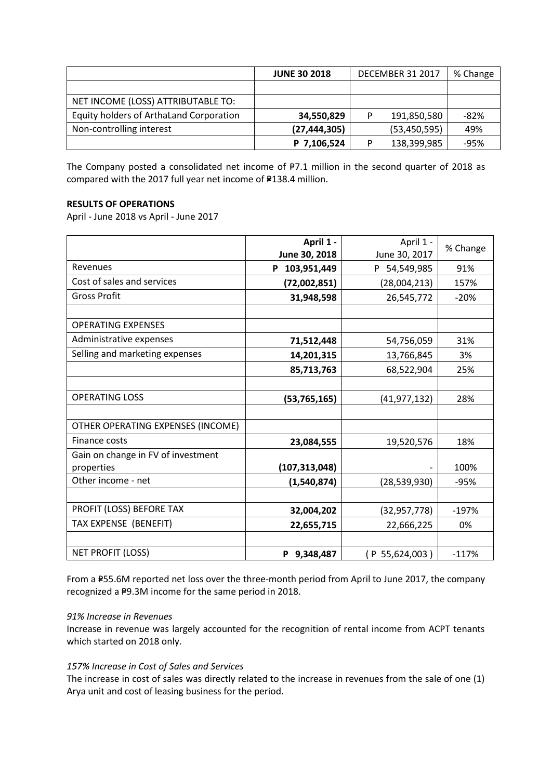|                                         | <b>JUNE 30 2018</b> | <b>DECEMBER 31 2017</b> |                | % Change |
|-----------------------------------------|---------------------|-------------------------|----------------|----------|
|                                         |                     |                         |                |          |
| NET INCOME (LOSS) ATTRIBUTABLE TO:      |                     |                         |                |          |
| Equity holders of ArthaLand Corporation | 34,550,829          | D                       | 191,850,580    | -82%     |
| Non-controlling interest                | (27, 444, 305)      |                         | (53, 450, 595) | 49%      |
|                                         | P 7,106,524         | P                       | 138,399,985    | $-95%$   |

The Company posted a consolidated net income of  $P7.1$  million in the second quarter of 2018 as compared with the 2017 full year net income of  $F138.4$  million.

## **RESULTS OF OPERATIONS**

April - June 2018 vs April - June 2017

|                                    | April 1 -<br>June 30, 2018 | April 1 -<br>June 30, 2017 | % Change |
|------------------------------------|----------------------------|----------------------------|----------|
| Revenues                           | 103,951,449<br>P           | P 54,549,985               | 91%      |
| Cost of sales and services         | (72,002,851)               | (28,004,213)               | 157%     |
| <b>Gross Profit</b>                | 31,948,598                 | 26,545,772                 | $-20%$   |
|                                    |                            |                            |          |
| <b>OPERATING EXPENSES</b>          |                            |                            |          |
| Administrative expenses            | 71,512,448                 | 54,756,059                 | 31%      |
| Selling and marketing expenses     | 14,201,315                 | 13,766,845                 | 3%       |
|                                    | 85,713,763                 | 68,522,904                 | 25%      |
|                                    |                            |                            |          |
| <b>OPERATING LOSS</b>              | (53, 765, 165)             | (41, 977, 132)             | 28%      |
|                                    |                            |                            |          |
| OTHER OPERATING EXPENSES (INCOME)  |                            |                            |          |
| Finance costs                      | 23,084,555                 | 19,520,576                 | 18%      |
| Gain on change in FV of investment |                            |                            |          |
| properties                         | (107, 313, 048)            |                            | 100%     |
| Other income - net                 | (1,540,874)                | (28, 539, 930)             | $-95%$   |
|                                    |                            |                            |          |
| PROFIT (LOSS) BEFORE TAX           | 32,004,202                 | (32, 957, 778)             | $-197%$  |
| TAX EXPENSE (BENEFIT)              | 22,655,715                 | 22,666,225                 | 0%       |
|                                    |                            |                            |          |
| NET PROFIT (LOSS)                  | P 9,348,487                | (P 55,624,003)             | $-117%$  |

From a P55.6M reported net loss over the three-month period from April to June 2017, the company recognized a P9.3M income for the same period in 2018.

## *91% Increase in Revenues*

Increase in revenue was largely accounted for the recognition of rental income from ACPT tenants which started on 2018 only.

## *157% Increase in Cost of Sales and Services*

The increase in cost of sales was directly related to the increase in revenues from the sale of one (1) Arya unit and cost of leasing business for the period.